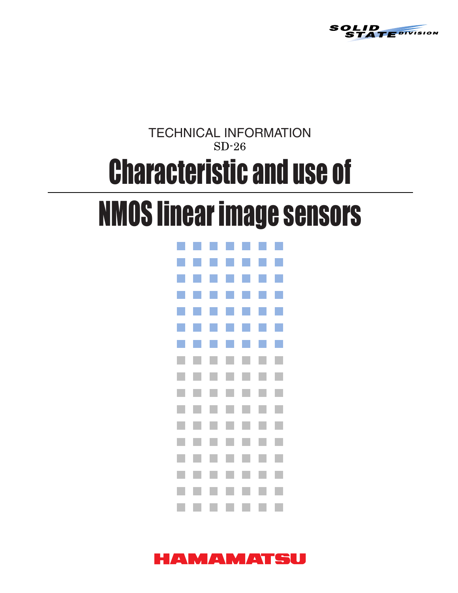

# $SD-26$ TECHNICAL INFORMATION Characteristic and use of

# NMOS linear image sensors



# HAMAMATSU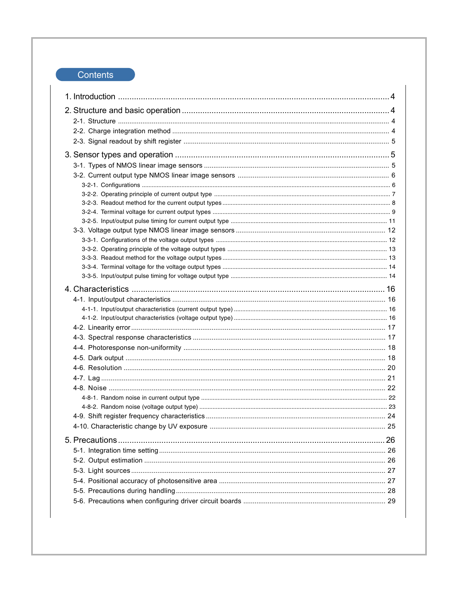# Contents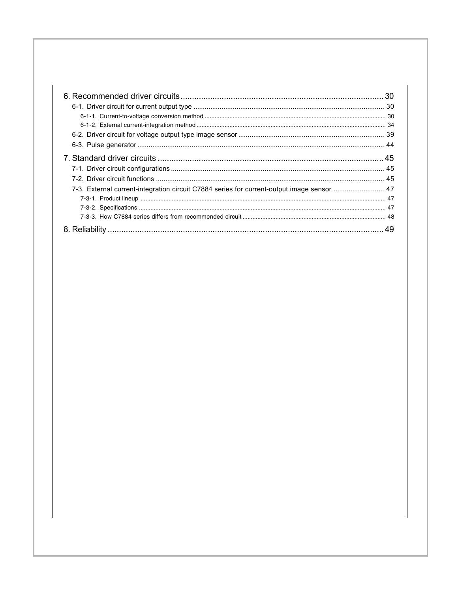|                                                                                            | 30 |
|--------------------------------------------------------------------------------------------|----|
|                                                                                            |    |
| 7-3. External current-integration circuit C7884 series for current-output image sensor  47 |    |
|                                                                                            |    |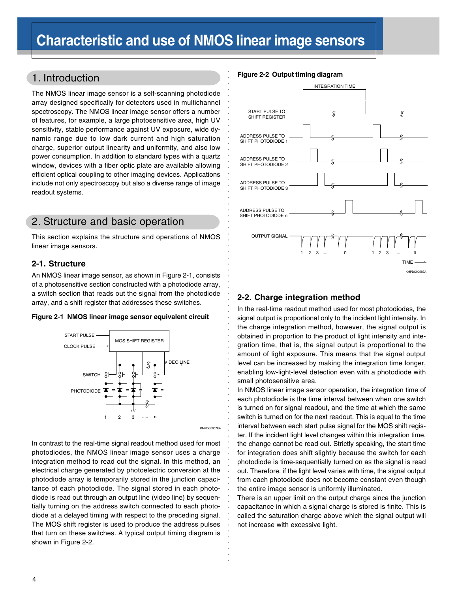○○○○○○○○○○○○○○○○○○○○○○○○○○○○○○

○○○○○○○○○○○○○○○○○○○○○○○○○○○○○○○○○○○○○○○○○○○○○○○○

# 1. Introduction

The NMOS linear image sensor is a self-scanning photodiode array designed specifically for detectors used in multichannel spectroscopy. The NMOS linear image sensor offers a number of features, for example, a large photosensitive area, high UV sensitivity, stable performance against UV exposure, wide dynamic range due to low dark current and high saturation charge, superior output linearity and uniformity, and also low power consumption. In addition to standard types with a quartz window, devices with a fiber optic plate are available allowing efficient optical coupling to other imaging devices. Applications include not only spectroscopy but also a diverse range of image readout systems.

# 2. Structure and basic operation

This section explains the structure and operations of NMOS linear image sensors.

## **2-1. Structure**

An NMOS linear image sensor, as shown in Figure 2-1, consists of a photosensitive section constructed with a photodiode array, a switch section that reads out the signal from the photodiode array, and a shift register that addresses these switches.





In contrast to the real-time signal readout method used for most photodiodes, the NMOS linear image sensor uses a charge integration method to read out the signal. In this method, an electrical charge generated by photoelectric conversion at the photodiode array is temporarily stored in the junction capacitance of each photodiode. The signal stored in each photodiode is read out through an output line (video line) by sequentially turning on the address switch connected to each photodiode at a delayed timing with respect to the preceding signal. The MOS shift register is used to produce the address pulses that turn on these switches. A typical output timing diagram is shown in Figure 2-2.

## **Figure 2-2 Output timing diagram**



## **2-2. Charge integration method**

In the real-time readout method used for most photodiodes, the signal output is proportional only to the incident light intensity. In the charge integration method, however, the signal output is obtained in proportion to the product of light intensity and integration time, that is, the signal output is proportional to the amount of light exposure. This means that the signal output level can be increased by making the integration time longer, enabling low-light-level detection even with a photodiode with small photosensitive area.

In NMOS linear image sensor operation, the integration time of each photodiode is the time interval between when one switch is turned on for signal readout, and the time at which the same switch is turned on for the next readout. This is equal to the time interval between each start pulse signal for the MOS shift register. If the incident light level changes within this integration time, the change cannot be read out. Strictly speaking, the start time for integration does shift slightly because the switch for each photodiode is time-sequentially turned on as the signal is read out. Therefore, if the light level varies with time, the signal output from each photodiode does not become constant even though the entire image sensor is uniformly illuminated.

There is an upper limit on the output charge since the junction capacitance in which a signal charge is stored is finite. This is called the saturation charge above which the signal output will not increase with excessive light.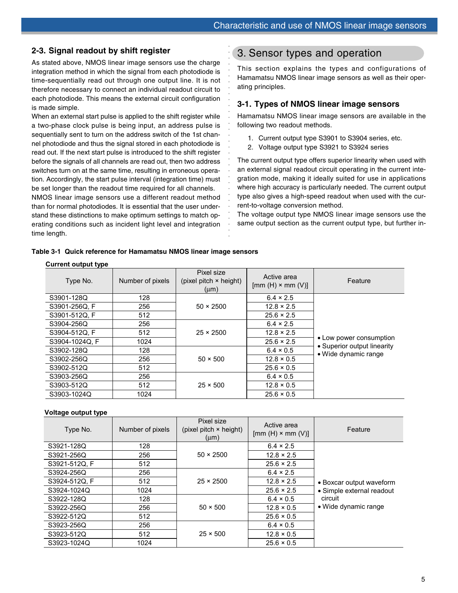## **2-3. Signal readout by shift register**

As stated above, NMOS linear image sensors use the charge integration method in which the signal from each photodiode is time-sequentially read out through one output line. It is not therefore necessary to connect an individual readout circuit to each photodiode. This means the external circuit configuration is made simple.

When an external start pulse is applied to the shift register while a two-phase clock pulse is being input, an address pulse is sequentially sent to turn on the address switch of the 1st channel photodiode and thus the signal stored in each photodiode is read out. If the next start pulse is introduced to the shift register before the signals of all channels are read out, then two address switches turn on at the same time, resulting in erroneous operation. Accordingly, the start pulse interval (integration time) must be set longer than the readout time required for all channels.

NMOS linear image sensors use a different readout method than for normal photodiodes. It is essential that the user understand these distinctions to make optimum settings to match operating conditions such as incident light level and integration time length.

# 3. Sensor types and operation

This section explains the types and configurations of Hamamatsu NMOS linear image sensors as well as their operating principles.

## **3-1. Types of NMOS linear image sensors**

Hamamatsu NMOS linear image sensors are available in the following two readout methods.

- 1. Current output type S3901 to S3904 series, etc.
- 2. Voltage output type S3921 to S3924 series

The current output type offers superior linearity when used with an external signal readout circuit operating in the current integration mode, making it ideally suited for use in applications where high accuracy is particularly needed. The current output type also gives a high-speed readout when used with the current-to-voltage conversion method.

The voltage output type NMOS linear image sensors use the same output section as the current output type, but further in-

**Table 3-1 Quick reference for Hamamatsu NMOS linear image sensors**

## **Current output type**

| . .<br>Type No. | Number of pixels | Pixel size<br>(pixel pitch $\times$ height)<br>$(\mu m)$ | Active area<br>$[mm(H) \times mm(V)]$ | Feature                                             |  |  |
|-----------------|------------------|----------------------------------------------------------|---------------------------------------|-----------------------------------------------------|--|--|
| S3901-128Q      | 128              |                                                          | $6.4 \times 2.5$                      |                                                     |  |  |
| S3901-256Q. F   | 256              | $50 \times 2500$                                         | $12.8 \times 2.5$                     |                                                     |  |  |
| S3901-512Q. F   | 512              |                                                          | $25.6 \times 2.5$                     |                                                     |  |  |
| S3904-256Q      | 256              |                                                          | $6.4 \times 2.5$                      |                                                     |  |  |
| S3904-512Q. F   | 512              | $25 \times 2500$                                         | $12.8 \times 2.5$                     |                                                     |  |  |
| S3904-1024Q. F  | 1024             |                                                          | $25.6 \times 2.5$                     | • Low power consumption                             |  |  |
| S3902-128Q      | 128              |                                                          | $6.4 \times 0.5$                      | • Superior output linearity<br>• Wide dynamic range |  |  |
| S3902-256Q      | 256              | $50 \times 500$                                          | $12.8 \times 0.5$                     |                                                     |  |  |
| S3902-512Q      | 512              |                                                          | $25.6 \times 0.5$                     |                                                     |  |  |
| S3903-256Q      | 256              |                                                          | $6.4 \times 0.5$                      |                                                     |  |  |
| S3903-512Q      | 512              | $25 \times 500$                                          | $12.8 \times 0.5$                     |                                                     |  |  |
| S3903-1024Q     | 1024             |                                                          | $25.6 \times 0.5$                     |                                                     |  |  |

○○○○○○○○○○○○○○○○○○○○○○○○○○○○

## **Voltage output type**

| Type No.      | Number of pixels | Pixel size<br>(pixel pitch $\times$ height)<br>$(\mu m)$ | Active area<br>$[mm(H) \times mm(V)]$ | Feature                   |  |  |
|---------------|------------------|----------------------------------------------------------|---------------------------------------|---------------------------|--|--|
| S3921-128Q    | 128              |                                                          | $6.4 \times 2.5$                      |                           |  |  |
| S3921-256Q    | 256              | $50 \times 2500$                                         | $12.8 \times 2.5$                     |                           |  |  |
| S3921-512Q, F | 512              |                                                          | $25.6 \times 2.5$                     |                           |  |  |
| S3924-256Q    | 256              |                                                          | $6.4 \times 2.5$                      |                           |  |  |
| S3924-512Q, F | 512              | $25 \times 2500$                                         | $12.8 \times 2.5$                     | • Boxcar output waveform  |  |  |
| S3924-1024Q   | 1024             |                                                          | $25.6 \times 2.5$                     | • Simple external readout |  |  |
| S3922-128Q    | 128              |                                                          | $6.4 \times 0.5$                      | circuit                   |  |  |
| S3922-256Q    | 256              | $50 \times 500$                                          | $12.8 \times 0.5$                     | • Wide dynamic range      |  |  |
| S3922-512Q    | 512              |                                                          | $25.6 \times 0.5$                     |                           |  |  |
| S3923-256Q    | 256              |                                                          | $6.4 \times 0.5$                      |                           |  |  |
| S3923-512Q    | 512              | $25 \times 500$                                          | $12.8 \times 0.5$                     |                           |  |  |
| S3923-1024Q   | 1024             |                                                          | $25.6 \times 0.5$                     |                           |  |  |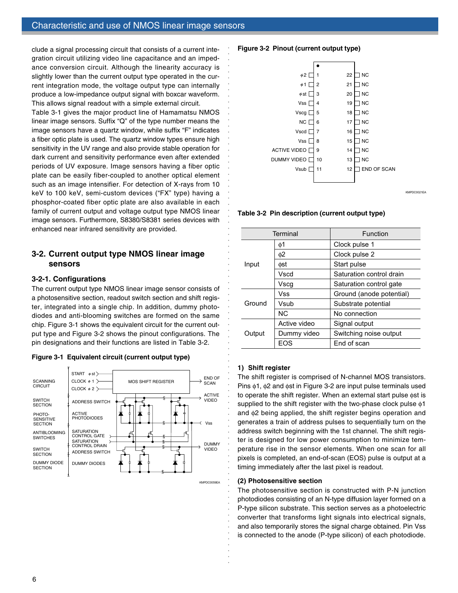clude a signal processing circuit that consists of a current integration circuit utilizing video line capacitance and an impedance conversion circuit. Although the linearity accuracy is slightly lower than the current output type operated in the current integration mode, the voltage output type can internally produce a low-impedance output signal with boxcar waveform. This allows signal readout with a simple external circuit.

Table 3-1 gives the major product line of Hamamatsu NMOS linear image sensors. Suffix "Q" of the type number means the image sensors have a quartz window, while suffix "F" indicates a fiber optic plate is used. The quartz window types ensure high sensitivity in the UV range and also provide stable operation for dark current and sensitivity performance even after extended periods of UV exposure. Image sensors having a fiber optic plate can be easily fiber-coupled to another optical element such as an image intensifier. For detection of X-rays from 10 keV to 100 keV, semi-custom devices ("FX" type) having a phosphor-coated fiber optic plate are also available in each family of current output and voltage output type NMOS linear image sensors. Furthermore, S8380/S8381 series devices with enhanced near infrared sensitivity are provided.

## **3-2. Current output type NMOS linear image sensors**

## **3-2-1. Configurations**

The current output type NMOS linear image sensor consists of a photosensitive section, readout switch section and shift register, integrated into a single chip. In addition, dummy photodiodes and anti-blooming switches are formed on the same chip. Figure 3-1 shows the equivalent circuit for the current output type and Figure 3-2 shows the pinout configurations. The pin designations and their functions are listed in Table 3-2.





### **Figure 3-2 Pinout (current output type)**



KMPDC0021EA

**Table 3-2 Pin description (current output type)**

|        | Terminal     | Function                 |  |  |
|--------|--------------|--------------------------|--|--|
|        | φ1           | Clock pulse 1            |  |  |
|        | φ2           | Clock pulse 2            |  |  |
| Input  | фst          | Start pulse              |  |  |
|        | Vscd         | Saturation control drain |  |  |
|        | Vscg         | Saturation control gate  |  |  |
|        | Vss          | Ground (anode potential) |  |  |
| Ground | Vsub         | Substrate potential      |  |  |
|        | <b>NC</b>    | No connection            |  |  |
|        | Active video | Signal output            |  |  |
| Output | Dummy video  | Switching noise output   |  |  |
|        | FOS          | End of scan              |  |  |

## **1) Shift register**

○○○○○○○○○○○○○○○○○○○○○○○○○○○○○○○○○○○○○○○○○○○○○○○○○○○○○

○○○○○○○○○○○○○○○○○○○○○○○○○○○○○○

The shift register is comprised of N-channel MOS transistors. Pins φ1, φ2 and φst in Figure 3-2 are input pulse terminals used to operate the shift register. When an external start pulse φst is supplied to the shift register with the two-phase clock pulse φ1 and φ2 being applied, the shift register begins operation and generates a train of address pulses to sequentially turn on the address switch beginning with the 1st channel. The shift register is designed for low power consumption to minimize temperature rise in the sensor elements. When one scan for all pixels is completed, an end-of-scan (EOS) pulse is output at a timing immediately after the last pixel is readout.

## **(2) Photosensitive section**

The photosensitive section is constructed with P-N junction photodiodes consisting of an N-type diffusion layer formed on a P-type silicon substrate. This section serves as a photoelectric converter that transforms light signals into electrical signals, and also temporarily stores the signal charge obtained. Pin Vss is connected to the anode (P-type silicon) of each photodiode.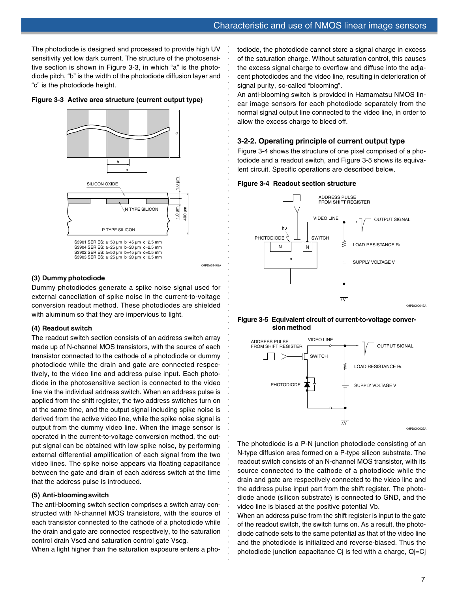The photodiode is designed and processed to provide high UV sensitivity yet low dark current. The structure of the photosensitive section is shown in Figure 3-3, in which "a" is the photodiode pitch, "b" is the width of the photodiode diffusion layer and "c" is the photodiode height.

**Figure 3-3 Active area structure (current output type)**





○○○○○○○○○○○○○○○○○○○○○○○○○○○○○○○○○○○○○○○○○○○○○○○○○○○○○

○○○○○○○○○○○○○○○○○○○○○○○○○○○○○○○○○

## **(3) Dummy photodiode**

Dummy photodiodes generate a spike noise signal used for external cancellation of spike noise in the current-to-voltage conversion readout method. These photodiodes are shielded with aluminum so that they are impervious to light.

## **(4) Readout switch**

The readout switch section consists of an address switch array made up of N-channel MOS transistors, with the source of each transistor connected to the cathode of a photodiode or dummy photodiode while the drain and gate are connected respectively, to the video line and address pulse input. Each photodiode in the photosensitive section is connected to the video line via the individual address switch. When an address pulse is applied from the shift register, the two address switches turn on at the same time, and the output signal including spike noise is derived from the active video line, while the spike noise signal is output from the dummy video line. When the image sensor is operated in the current-to-voltage conversion method, the output signal can be obtained with low spike noise, by performing external differential amplification of each signal from the two video lines. The spike noise appears via floating capacitance between the gate and drain of each address switch at the time that the address pulse is introduced.

#### **(5) Anti-blooming switch**

The anti-blooming switch section comprises a switch array constructed with N-channel MOS transistors, with the source of each transistor connected to the cathode of a photodiode while the drain and gate are connected respectively, to the saturation control drain Vscd and saturation control gate Vscg.

When a light higher than the saturation exposure enters a pho-

todiode, the photodiode cannot store a signal charge in excess of the saturation charge. Without saturation control, this causes the excess signal charge to overflow and diffuse into the adjacent photodiodes and the video line, resulting in deterioration of signal purity, so-called "blooming".

An anti-blooming switch is provided in Hamamatsu NMOS linear image sensors for each photodiode separately from the normal signal output line connected to the video line, in order to allow the excess charge to bleed off.

## **3-2-2. Operating principle of current output type**

Figure 3-4 shows the structure of one pixel comprised of a photodiode and a readout switch, and Figure 3-5 shows its equivalent circuit. Specific operations are described below.

#### **Figure 3-4 Readout section structure**



#### **Figure 3-5 Equivalent circuit of current-to-voltage conversion method**



The photodiode is a P-N junction photodiode consisting of an N-type diffusion area formed on a P-type silicon substrate. The readout switch consists of an N-channel MOS transistor, with its source connected to the cathode of a photodiode while the drain and gate are respectively connected to the video line and the address pulse input part from the shift register. The photodiode anode (silicon substrate) is connected to GND, and the video line is biased at the positive potential Vb.

When an address pulse from the shift register is input to the gate of the readout switch, the switch turns on. As a result, the photodiode cathode sets to the same potential as that of the video line and the photodiode is initialized and reverse-biased. Thus the photodiode junction capacitance Cj is fed with a charge, Qj=Cj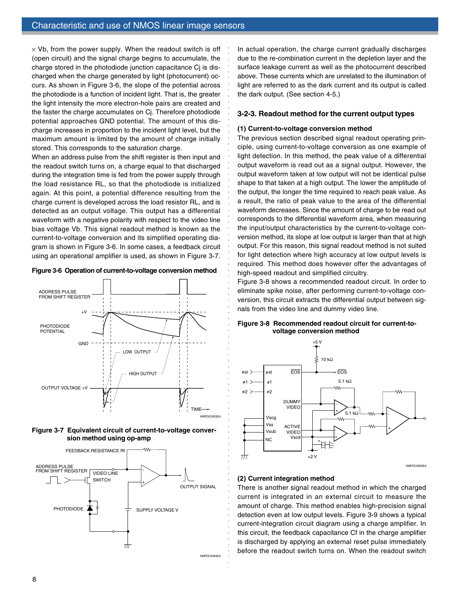$\times$  Vb, from the power supply. When the readout switch is off (open circuit) and the signal charge begins to accumulate, the charge stored in the photodiode junction capacitance Cj is discharged when the charge generated by light (photocurrent) occurs. As shown in Figure 3-6, the slope of the potential across the photodiode is a function of incident light. That is, the greater the light intensity the more electron-hole pairs are created and the faster the charge accumulates on Cj. Therefore photodiode potential approaches GND potential. The amount of this discharge increases in proportion to the incident light level, but the maximum amount is limited by the amount of charge initially stored. This corresponds to the saturation charge.

When an address pulse from the shift register is then input and the readout switch turns on, a charge equal to that discharged during the integration time is fed from the power supply through the load resistance RL, so that the photodiode is initialized again. At this point, a potential difference resulting from the charge current is developed across the load resistor RL, and is detected as an output voltage. This output has a differential waveform with a negative polarity with respect to the video line bias voltage Vb. This signal readout method is known as the current-to-voltage conversion and its simplified operating diagram is shown in Figure 3-6. In some cases, a feedback circuit using an operational amplifier is used, as shown in Figure 3-7.









In actual operation, the charge current gradually discharges due to the re-combination current in the depletion layer and the surface leakage current as well as the photocurrent described above. These currents which are unrelated to the illumination of light are referred to as the dark current and its output is called the dark output. (See section 4-5.)

#### **3-2-3. Readout method for the current output types**

#### **(1) Current-to-voltage conversion method**

○○○○○○○○○○○○○○○○○○○○○○○○○○○○○○○○○○○○○○○○○○○○○○○○○○○○○

○○○○○○○○○○○○○○○○○○○○○○○○○○○○○○

The previous section described signal readout operating principle, using current-to-voltage conversion as one example of light detection. In this method, the peak value of a differential output waveform is read out as a signal output. However, the output waveform taken at low output will not be identical pulse shape to that taken at a high output. The lower the amplitude of the output, the longer the time required to reach peak value. As a result, the ratio of peak value to the area of the differential waveform decreases. Since the amount of charge to be read out corresponds to the differential waveform area, when measuring the input/output characteristics by the current-to-voltage conversion method, its slope at low output is larger than that at high output. For this reason, this signal readout method is not suited for light detection where high accuracy at low output levels is required. This method does however offer the advantages of high-speed readout and simplified circuitry.

Figure 3-8 shows a recommended readout circuit. In order to eliminate spike noise, after performing current-to-voltage conversion, this circuit extracts the differential output between signals from the video line and dummy video line.

#### **Figure 3-8 Recommended readout circuit for current-tovoltage conversion method**



#### **(2) Current integration method**

There is another signal readout method in which the charged current is integrated in an external circuit to measure the amount of charge. This method enables high-precision signal detection even at low output levels. Figure 3-9 shows a typical current-integration circuit diagram using a charge amplifier. In this circuit, the feedback capacitance Cf in the charge amplifier is discharged by applying an external reset pulse immediately before the readout switch turns on. When the readout switch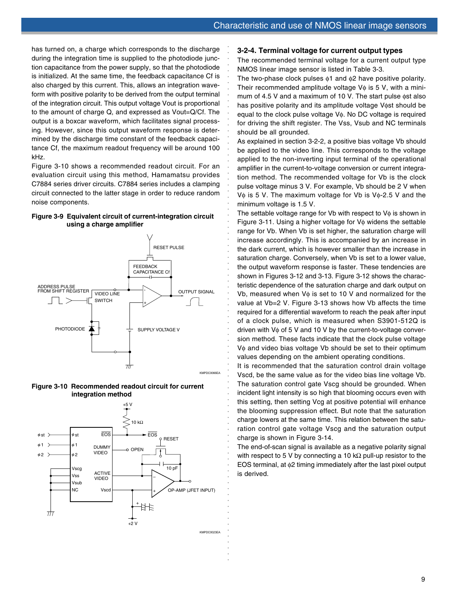has turned on, a charge which corresponds to the discharge during the integration time is supplied to the photodiode junction capacitance from the power supply, so that the photodiode is initialized. At the same time, the feedback capacitance Cf is also charged by this current. This, allows an integration waveform with positive polarity to be derived from the output terminal of the integration circuit. This output voltage Vout is proportional to the amount of charge Q, and expressed as Vout=Q/Cf. The output is a boxcar waveform, which facilitates signal processing. However, since this output waveform response is determined by the discharge time constant of the feedback capacitance Cf, the maximum readout frequency will be around 100 kHz.

Figure 3-10 shows a recommended readout circuit. For an evaluation circuit using this method, Hamamatsu provides C7884 series driver circuits. C7884 series includes a clamping circuit connected to the latter stage in order to reduce random noise components.

#### **Figure 3-9 Equivalent circuit of current-integration circuit using a charge amplifier**



**Figure 3-10 Recommended readout circuit for current integration method**



#### **3-2-4. Terminal voltage for current output types**

The recommended terminal voltage for a current output type NMOS linear image sensor is listed in Table 3-3.

The two-phase clock pulses  $\phi$ 1 and  $\phi$ 2 have positive polarity. Their recommended amplitude voltage  $V\phi$  is 5 V, with a minimum of 4.5 V and a maximum of 10 V. The start pulse φst also has positive polarity and its amplitude voltage Vost should be equal to the clock pulse voltage Vφ. No DC voltage is required for driving the shift register. The Vss, Vsub and NC terminals should be all grounded.

As explained in section 3-2-2, a positive bias voltage Vb should be applied to the video line. This corresponds to the voltage applied to the non-inverting input terminal of the operational amplifier in the current-to-voltage conversion or current integration method. The recommended voltage for Vb is the clock pulse voltage minus 3 V. For example, Vb should be 2 V when V $\phi$  is 5 V. The maximum voltage for Vb is V $\phi$ -2.5 V and the minimum voltage is 1.5 V.

○○○○○○○○○○○○○○○○○○○○○○○○○○○○○○○○○

○○○○○○○○○○○○○○○○○○○○○○○○○○○○○○○○○○○○○○○○○○○○○○○○○○○○○

The settable voltage range for Vb with respect to  $V\phi$  is shown in Figure 3-11. Using a higher voltage for Vφ widens the settable range for Vb. When Vb is set higher, the saturation charge will increase accordingly. This is accompanied by an increase in the dark current, which is however smaller than the increase in saturation charge. Conversely, when Vb is set to a lower value, the output waveform response is faster. These tendencies are shown in Figures 3-12 and 3-13. Figure 3-12 shows the characteristic dependence of the saturation charge and dark output on Vb, measured when  $V\phi$  is set to 10 V and normalized for the value at Vb=2 V. Figure 3-13 shows how Vb affects the time required for a differential waveform to reach the peak after input of a clock pulse, which is measured when S3901-512Q is driven with Vφ of 5 V and 10 V by the current-to-voltage conversion method. These facts indicate that the clock pulse voltage Vφ and video bias voltage Vb should be set to their optimum values depending on the ambient operating conditions.

It is recommended that the saturation control drain voltage Vscd, be the same value as for the video bias line voltage Vb. The saturation control gate Vscg should be grounded. When incident light intensity is so high that blooming occurs even with this setting, then setting Vcg at positive potential will enhance the blooming suppression effect. But note that the saturation charge lowers at the same time. This relation between the saturation control gate voltage Vscg and the saturation output charge is shown in Figure 3-14.

The end-of-scan signal is available as a negative polarity signal with respect to 5 V by connecting a 10 kΩ pull-up resistor to the EOS terminal, at φ2 timing immediately after the last pixel output is derived.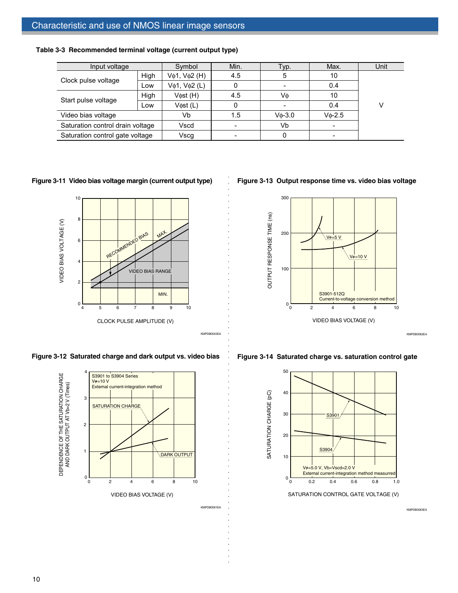| Input voltage                    |      | Symbol                   | Min.     | Typ.             | Max.             | Unit |  |
|----------------------------------|------|--------------------------|----------|------------------|------------------|------|--|
|                                  | High | Vφ1, Vφ2 (H)             | 4.5      | 5                | 10               |      |  |
| Clock pulse voltage              | Low  | $V\phi$ 1, $V\phi$ 2 (L) | 0        |                  | 0.4              |      |  |
| Start pulse voltage              | High |                          | V¢st (H) | 4.5              | Vф               | 10   |  |
|                                  | _OW  | Vost (L)                 | 0        |                  | 0.4              | v    |  |
| Video bias voltage               |      | Vb                       | 1.5      | $V_{\Phi} - 3.0$ | $V_{\Phi} - 2.5$ |      |  |
| Saturation control drain voltage |      | Vscd                     |          | Vb               |                  |      |  |
| Saturation control gate voltage  |      | Vscg                     |          |                  |                  |      |  |

○○○○○○○○○○○○○○○○○○○○○○○○○○○○○○○○○○○○○○○○○○○○○○○○○○○○○○○○○○

○○○○○○○

**Table 3-3 Recommended terminal voltage (current output type)**

## **Figure 3-11 Video bias voltage margin (current output type)**



**Figure 3-12 Saturated charge and dark output vs. video bias**



**Figure 3-13 Output response time vs. video bias voltage**



KMPDB0062EA

KMPDB0063EA

**Figure 3-14 Saturated charge vs. saturation control gate**

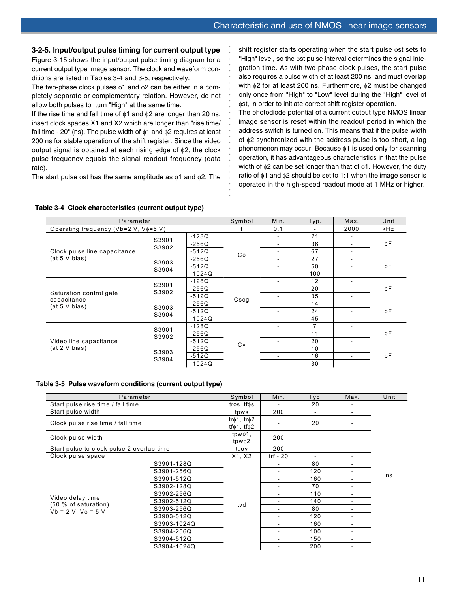## **3-2-5. Input/output pulse timing for current output type**

Figure 3-15 shows the input/output pulse timing diagram for a current output type image sensor. The clock and waveform conditions are listed in Tables 3-4 and 3-5, respectively.

The two-phase clock pulses φ1 and φ2 can be either in a completely separate or complementary relation. However, do not allow both pulses to turn "High" at the same time.

If the rise time and fall time of  $\phi$ 1 and  $\phi$ 2 are longer than 20 ns, insert clock spaces X1 and X2 which are longer than "rise time/ fall time - 20" (ns). The pulse width of  $\phi$ 1 and  $\phi$ 2 requires at least 200 ns for stable operation of the shift register. Since the video output signal is obtained at each rising edge of φ2, the clock pulse frequency equals the signal readout frequency (data rate).

The start pulse  $\phi$ st has the same amplitude as  $\phi$ 1 and  $\phi$ 2. The

shift register starts operating when the start pulse φst sets to "High" level, so the φst pulse interval determines the signal integration time. As with two-phase clock pulses, the start pulse also requires a pulse width of at least 200 ns, and must overlap with φ2 for at least 200 ns. Furthermore, φ2 must be changed only once from "High" to "Low" level during the "High" level of φst, in order to initiate correct shift register operation.

The photodiode potential of a current output type NMOS linear image sensor is reset within the readout period in which the address switch is turned on. This means that if the pulse width of φ2 synchronized with the address pulse is too short, a lag phenomenon may occur. Because φ1 is used only for scanning operation, it has advantageous characteristics in that the pulse width of  $φ2$  can be set longer than that of  $φ1$ . However, the duty ratio of φ1 and φ2 should be set to 1:1 when the image sensor is operated in the high-speed readout mode at 1 MHz or higher.

| Parameter                               |                |          | Symbol  | Min.                         | Typ.                     | Max.                     | Unit       |
|-----------------------------------------|----------------|----------|---------|------------------------------|--------------------------|--------------------------|------------|
| Operating frequency (Vb=2 V, Vo=5 V)    |                |          |         | 0.1                          | $\overline{\phantom{0}}$ | 2000                     | <b>kHz</b> |
|                                         | S3901          | $-128Q$  |         | $\overline{\phantom{a}}$     | 21                       | $\overline{\phantom{a}}$ |            |
|                                         | S3902          | $-256Q$  |         | $\overline{\phantom{a}}$     | 36                       | $\overline{\phantom{a}}$ | pF         |
| Clock pulse line capacitance            |                | $-512Q$  |         | $\overline{\phantom{a}}$     | 67                       | $\overline{\phantom{a}}$ |            |
| (at 5 V bias)                           | S3903          | $-256Q$  | $C\phi$ | ۰                            | 27                       | $\overline{\phantom{a}}$ |            |
|                                         | S3904          | $-512Q$  |         | $\overline{\phantom{a}}$     | 50                       | $\overline{\phantom{a}}$ | pF         |
|                                         |                | $-1024Q$ |         | $\overline{\phantom{a}}$     | 100                      | $\overline{\phantom{a}}$ |            |
|                                         | S3901          | $-128Q$  | Cscg    | $\overline{\phantom{a}}$     | 12                       | $\overline{\phantom{a}}$ | pF         |
|                                         | S3902          | $-256Q$  |         | $\overline{\phantom{a}}$     | 20                       | $\overline{\phantom{a}}$ |            |
| Saturation control gate                 |                | $-512Q$  |         | $\qquad \qquad \blacksquare$ | 35                       | $\overline{\phantom{a}}$ |            |
| capacitance<br>(at 5 V bias)            |                | $-256Q$  |         | $\overline{\phantom{a}}$     | 14                       | $\overline{\phantom{a}}$ |            |
|                                         | S3903<br>S3904 | $-512Q$  |         | $\overline{\phantom{a}}$     | 24                       | $\overline{\phantom{a}}$ | pF         |
|                                         |                | $-1024Q$ |         | $\overline{\phantom{a}}$     | 45                       | $\overline{\phantom{a}}$ |            |
|                                         | S3901          | $-128Q$  |         | $\overline{\phantom{a}}$     | 7                        | $\overline{\phantom{a}}$ |            |
|                                         | S3902          | $-256Q$  |         | $\overline{\phantom{a}}$     | 11                       | $\overline{\phantom{a}}$ | pF<br>pF   |
| Video line capacitance<br>(at 2 V bias) |                | $-512Q$  | Cv      | $\overline{\phantom{a}}$     | 20                       | -                        |            |
|                                         |                | $-256Q$  |         | $\overline{\phantom{a}}$     | 10                       | $\overline{\phantom{a}}$ |            |
|                                         | S3903          | $-512Q$  |         | $\overline{\phantom{0}}$     | 16                       | $\overline{\phantom{a}}$ |            |
|                                         | S3904          | $-1024Q$ |         | $\overline{\phantom{0}}$     | 30                       | $\overline{\phantom{a}}$ |            |

○○○○○○○○

○○○○○○○○○○○○○○○○○○

#### **Table 3-4 Clock characteristics (current output type)**

#### **Table 3-5 Pulse waveform conditions (current output type)**

| Parameter                                 |             | Symbol                                             | Min.                     | Typ.                     | Max. | Unit |
|-------------------------------------------|-------------|----------------------------------------------------|--------------------------|--------------------------|------|------|
| Start pulse rise time / fall time         |             | tros, tfos                                         |                          | 20                       |      |      |
| Start pulse width                         |             | tpws                                               | 200                      |                          |      |      |
| Clock pulse rise time / fall time         |             | $tr\phi$ 1, $tr\phi$ 2<br>tf $\phi$ 1, tf $\phi$ 2 |                          | 20                       |      |      |
| Clock pulse width                         |             | $tpw\phi1$ ,<br>tpw $\phi$ 2                       | 200                      |                          |      |      |
| Start pulse to clock pulse 2 overlap time |             | toov                                               | 200                      | $\overline{\phantom{0}}$ |      |      |
| Clock pulse space                         |             | X1, X2                                             | trf - 20                 |                          |      |      |
|                                           | S3901-128Q  |                                                    |                          | 80                       |      |      |
|                                           | S3901-256Q  |                                                    |                          | 120                      |      | ns   |
|                                           | S3901-512Q  |                                                    | $\overline{\phantom{0}}$ | 160                      |      |      |
|                                           | S3902-128Q  |                                                    | $\overline{\phantom{a}}$ | 70                       |      |      |
|                                           | S3902-256Q  |                                                    | $\overline{\phantom{a}}$ | 110                      | ٠    |      |
| Video delay time<br>(50 % of saturation)  | S3902-512Q  | tvd                                                |                          | 140                      |      |      |
| $Vb = 2 V, V0 = 5 V$                      | S3903-256Q  |                                                    | $\overline{\phantom{a}}$ | 80                       |      |      |
|                                           | S3903-512Q  |                                                    |                          | 120                      |      |      |
|                                           | S3903-1024Q |                                                    |                          | 160                      |      |      |
|                                           | S3904-256Q  |                                                    | $\overline{\phantom{a}}$ | 100                      |      |      |
|                                           | S3904-512Q  |                                                    |                          | 150                      |      |      |
|                                           | S3904-1024Q |                                                    | $\overline{\phantom{a}}$ | 200                      |      |      |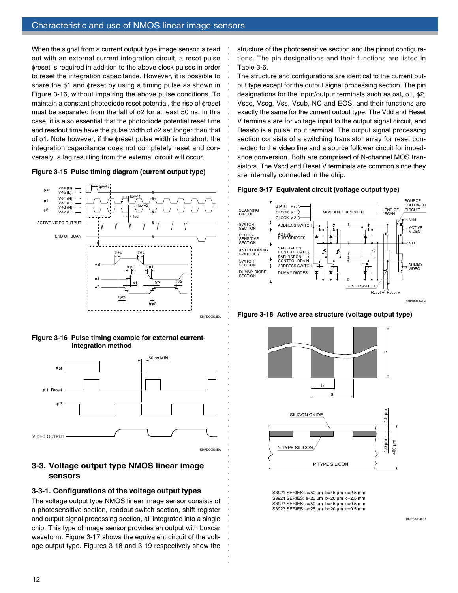When the signal from a current output type image sensor is read out with an external current integration circuit, a reset pulse φreset is required in addition to the above clock pulses in order to reset the integration capacitance. However, it is possible to share the φ1 and φreset by using a timing pulse as shown in Figure 3-16, without impairing the above pulse conditions. To maintain a constant photodiode reset potential, the rise of φreset must be separated from the fall of φ2 for at least 50 ns. In this case, it is also essential that the photodiode potential reset time and readout time have the pulse width of  $\phi$ 2 set longer than that of φ1. Note however, if the φreset pulse width is too short, the integration capacitance does not completely reset and conversely, a lag resulting from the external circuit will occur.

#### **Figure 3-15 Pulse timing diagram (current output type)**







## **3-3. Voltage output type NMOS linear image sensors**

## **3-3-1. Configurations of the voltage output types**

The voltage output type NMOS linear image sensor consists of a photosensitive section, readout switch section, shift register and output signal processing section, all integrated into a single chip. This type of image sensor provides an output with boxcar waveform. Figure 3-17 shows the equivalent circuit of the voltage output type. Figures 3-18 and 3-19 respectively show the

structure of the photosensitive section and the pinout configurations. The pin designations and their functions are listed in Table 3-6.

The structure and configurations are identical to the current output type except for the output signal processing section. The pin designations for the input/output terminals such as φst, φ1, φ2, Vscd, Vscg, Vss, Vsub, NC and EOS, and their functions are exactly the same for the current output type. The Vdd and Reset V terminals are for voltage input to the output signal circuit, and Resetφ is a pulse input terminal. The output signal processing section consists of a switching transistor array for reset connected to the video line and a source follower circuit for impedance conversion. Both are comprised of N-channel MOS transistors. The Vscd and Reset V terminals are common since they are internally connected in the chip.



○○○○○○○○○○○○○○○○○○○○○○○○○○○○○○○○○○○○○○○○○○○○○○○○○○○○○

○○○○○○○○○○○○○○○○○○○○○○○○○○○○○○



**Figure 3-18 Active area structure (voltage output type)**



S3921 SERIES: a=50 µm b=45 µm c=2.5 mm S3924 SERIES: a=25 µm b=20 µm c=2.5 mm S3922 SERIES: a=50 µm b=45 µm c=0.5 mm S3923 SERIES: a=25 µm b=20 µm c=0.5 mm

KMPDA0148EA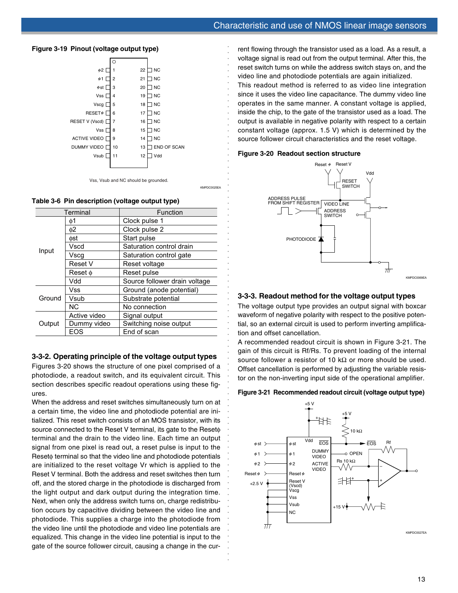#### **Figure 3-19 Pinout (voltage output type)**





#### **Table 3-6 Pin description (voltage output type)**

|        | Terminal     | Function                      |  |  |
|--------|--------------|-------------------------------|--|--|
|        | ф1           | Clock pulse 1                 |  |  |
|        | 62           | Clock pulse 2                 |  |  |
|        | фst          | Start pulse                   |  |  |
| Input  | Vscd         | Saturation control drain      |  |  |
|        | Vscq         | Saturation control gate       |  |  |
|        | Reset V      | Reset voltage                 |  |  |
|        | $Reset \phi$ | Reset pulse                   |  |  |
|        | Vdd          | Source follower drain voltage |  |  |
|        | Vss          | Ground (anode potential)      |  |  |
| Ground | Vsub         | Substrate potential           |  |  |
|        | NC.          | No connection                 |  |  |
|        | Active video | Signal output                 |  |  |
| Output | Dummy video  | Switching noise output        |  |  |
|        | EOS          | End of scan                   |  |  |

## **3-3-2. Operating principle of the voltage output types**

Figures 3-20 shows the structure of one pixel comprised of a photodiode, a readout switch, and its equivalent circuit. This section describes specific readout operations using these figures.

When the address and reset switches simultaneously turn on at a certain time, the video line and photodiode potential are initialized. This reset switch consists of an MOS transistor, with its source connected to the Reset V terminal, its gate to the Reset $\phi$ terminal and the drain to the video line. Each time an output signal from one pixel is read out, a reset pulse is input to the Resetφ terminal so that the video line and photodiode potentials are initialized to the reset voltage Vr which is applied to the Reset V terminal. Both the address and reset switches then turn off, and the stored charge in the photodiode is discharged from the light output and dark output during the integration time. Next, when only the address switch turns on, charge redistribution occurs by capacitive dividing between the video line and photodiode. This supplies a charge into the photodiode from the video line until the photodiode and video line potentials are equalized. This change in the video line potential is input to the gate of the source follower circuit, causing a change in the cur-

rent flowing through the transistor used as a load. As a result, a voltage signal is read out from the output terminal. After this, the reset switch turns on while the address switch stays on, and the video line and photodiode potentials are again initialized. This readout method is referred to as video line integration

since it uses the video line capacitance. The dummy video line operates in the same manner. A constant voltage is applied, inside the chip, to the gate of the transistor used as a load. The output is available in negative polarity with respect to a certain constant voltage (approx. 1.5 V) which is determined by the source follower circuit characteristics and the reset voltage.

#### **Figure 3-20 Readout section structure**

○○○○○○○○○○○○○○○○○○○○○○○○○○○○○○○○○

KMPDC0025EA

○○○○○○○○○○○○○○○○○○○○○○○○○○○○○○○○○○○○○○○○○○○○○○○○○○○○○



#### **3-3-3. Readout method for the voltage output types**

The voltage output type provides an output signal with boxcar waveform of negative polarity with respect to the positive potential, so an external circuit is used to perform inverting amplification and offset cancellation.

A recommended readout circuit is shown in Figure 3-21. The gain of this circuit is Rf/Rs. To prevent loading of the internal source follower a resistor of 10 k $\Omega$  or more should be used. Offset cancellation is performed by adjusting the variable resistor on the non-inverting input side of the operational amplifier.

#### **Figure 3-21 Recommended readout circuit (voltage output type)**

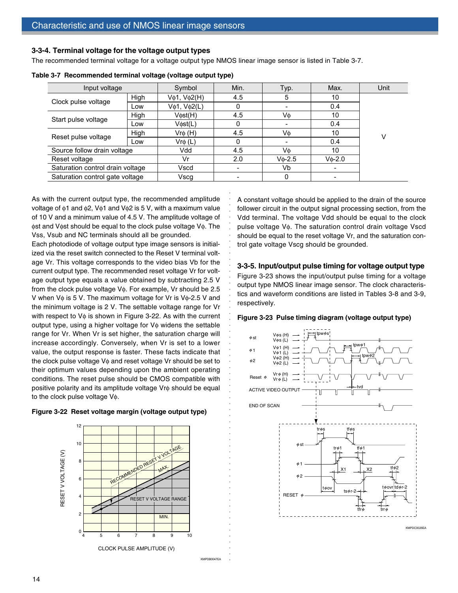#### **3-3-4. Terminal voltage for the voltage output types**

The recommended terminal voltage for a voltage output type NMOS linear image sensor is listed in Table 3-7.

| Input voltage                    |      |              | Min. | Typ.            | Max.            | Unit |
|----------------------------------|------|--------------|------|-----------------|-----------------|------|
|                                  | High | Vφ1, Vφ2(H)  | 4.5  | 5               | 10              |      |
| Clock pulse voltage              | Low  | Vφ1, Vφ2(L)  | 0    |                 | 0.4             |      |
|                                  | High | V¢st(H)      | 4.5  | Vф              | 10              |      |
| Start pulse voltage              | Low  | Vost(L)      |      |                 | 0.4             |      |
|                                  | High | $Vr\phi$ (H) | 4.5  | Vφ              | 10              | v    |
| Reset pulse voltage              | Low  | $V$ rφ (L)   | 0    |                 | 0.4             |      |
| Source follow drain voltage      |      | Vdd          | 4.5  | Vф              | 10              |      |
| Reset voltage                    |      | Vr           | 2.0  | $V_{\Phi}$ -2.5 | $V_{\Phi}$ -2.0 |      |
| Saturation control drain voltage |      | Vscd         |      | Vb              |                 |      |
| Saturation control gate voltage  |      | Vscq         |      | 0               |                 |      |

○○○○○○○○○○○○○○○○○○○○○○○○○○○○○○○○○○○○○○○○○○○○○○○○○○○○○○○○

**Table 3-7 Recommended terminal voltage (voltage output type)**

As with the current output type, the recommended amplitude voltage of φ1 and φ2, Vφ1 and Vφ2 is 5 V, with a maximum value of 10 V and a minimum value of 4.5 V. The amplitude voltage of φst and Vφst should be equal to the clock pulse voltage Vφ. The Vss, Vsub and NC terminals should all be grounded.

Each photodiode of voltage output type image sensors is initialized via the reset switch connected to the Reset V terminal voltage Vr. This voltage corresponds to the video bias Vb for the current output type. The recommended reset voltage Vr for voltage output type equals a value obtained by subtracting 2.5 V from the clock pulse voltage Vφ. For example, Vr should be 2.5 V when  $V\phi$  is 5 V. The maximum voltage for Vr is V $\phi$ -2.5 V and the minimum voltage is 2 V. The settable voltage range for Vr with respect to V $φ$  is shown in Figure 3-22. As with the current output type, using a higher voltage for Vφ widens the settable range for Vr. When Vr is set higher, the saturation charge will increase accordingly. Conversely, when Vr is set to a lower value, the output response is faster. These facts indicate that the clock pulse voltage Vφ and reset voltage Vr should be set to their optimum values depending upon the ambient operating conditions. The reset pulse should be CMOS compatible with positive polarity and its amplitude voltage Vr $\phi$  should be equal to the clock pulse voltage Vφ.





KMPDB0047EA

○○○○○○

A constant voltage should be applied to the drain of the source follower circuit in the output signal processing section, from the Vdd terminal. The voltage Vdd should be equal to the clock pulse voltage Vφ. The saturation control drain voltage Vscd should be equal to the reset voltage Vr, and the saturation control gate voltage Vscg should be grounded.

## **3-3-5. Input/output pulse timing for voltage output type**

Figure 3-23 shows the input/output pulse timing for a voltage output type NMOS linear image sensor. The clock characteristics and waveform conditions are listed in Tables 3-8 and 3-9, respectively.

#### **Figure 3-23 Pulse timing diagram (voltage output type)**

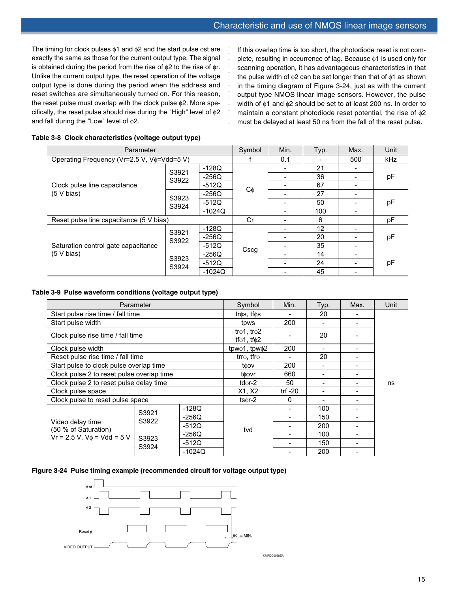The timing for clock pulses  $\phi$ 1 and  $\phi$ 2 and the start pulse  $\phi$ st are exactly the same as those for the current output type. The signal is obtained during the period from the rise of  $\phi$ 2 to the rise of  $\phi$ r. Unlike the current output type, the reset operation of the voltage output type is done during the period when the address and reset switches are simultaneously turned on. For this reason, the reset pulse must overlap with the clock pulse φ2. More specifically, the reset pulse should rise during the "High" level of φ2 and fall during the "Low" level of φ2.

If this overlap time is too short, the photodiode reset is not com-<br>plete, resulting in occurrence of lag. Because  $\phi$ 1 is used only for<br>scanning operation, it has advantageous characteristics in that<br>the pulse width of plete, resulting in occurrence of lag. Because φ1 is used only for scanning operation, it has advantageous characteristics in that the pulse width of  $\phi$ 2 can be set longer than that of  $\phi$ 1 as shown in the timing diagram of Figure 3-24, just as with the current output type NMOS linear image sensors. However, the pulse width of φ1 and φ2 should be set to at least 200 ns. In order to maintain a constant photodiode reset potential, the rise of φ2 must be delayed at least 50 ns from the fall of the reset pulse.

| Parameter                                         |       |          |      | Min. | Typ. | Max. | Unit |
|---------------------------------------------------|-------|----------|------|------|------|------|------|
| Operating Frequency (Vr=2.5 V, Vo=Vdd=5 V)        |       |          |      | 0.1  |      | 500  | kHz  |
|                                                   | S3921 | $-128Q$  |      | 21   |      |      |      |
|                                                   | S3922 | $-256Q$  |      |      | 36   |      | рF   |
| Clock pulse line capacitance                      |       | $-512Q$  |      |      | 67   |      |      |
| (5 V bias)                                        | S3923 | $-256Q$  | Cφ   |      | 27   |      |      |
|                                                   | S3924 | $-512Q$  |      |      | 50   |      | рF   |
|                                                   |       | $-1024Q$ |      |      | 100  |      |      |
| Reset pulse line capacitance (5 V bias)           |       |          | Cr   |      | 6    |      | pF   |
|                                                   | S3921 | $-128Q$  |      |      | 12   |      |      |
|                                                   | S3922 | $-256Q$  |      |      | 20   |      | рF   |
| Saturation control gate capacitance<br>(5 V bias) |       | $-512Q$  |      |      | 35   |      |      |
|                                                   | S3923 | $-256Q$  | Cscg |      | 14   |      |      |
|                                                   | S3924 | $-512Q$  |      |      | 24   |      | рF   |
|                                                   |       | $-1024Q$ |      |      | 45   |      |      |

## **Table 3-8 Clock characteristics (voltage output type)**

## **Table 3-9 Pulse waveform conditions (voltage output type)**

| Parameter                                                                      |                |          | Symbol                                               | Min.      | Typ. | Max. | Unit |  |
|--------------------------------------------------------------------------------|----------------|----------|------------------------------------------------------|-----------|------|------|------|--|
| Start pulse rise time / fall time                                              |                |          | $tr$ $\phi$ s, tf $\phi$ s                           |           | 20   |      |      |  |
| Start pulse width                                                              |                |          | tpws                                                 | 200       |      |      |      |  |
| Clock pulse rise time / fall time                                              |                |          | tr $\phi$ 1, tr $\phi$ 2<br>tf $\phi$ 1, tf $\phi$ 2 |           | 20   |      |      |  |
| Clock pulse width                                                              |                |          | tpwo1, tpwo2                                         | 200       |      |      |      |  |
| Reset pulse rise time / fall time                                              |                |          | $trr\phi$ , $trr\phi$                                |           | 20   |      |      |  |
| Start pulse to clock pulse overlap time                                        |                |          | toov                                                 | 200       |      |      |      |  |
| Clock pulse 2 to reset pulse overlap time                                      |                |          | toovr                                                | 660       | -    |      |      |  |
| Clock pulse 2 to reset pulse delay time                                        |                |          | tdor-2                                               | 50        | ۰    |      | ns   |  |
| Clock pulse space                                                              |                |          | X1, X2                                               | trf $-20$ |      |      |      |  |
| Clock pulse to reset pulse space                                               |                |          | $t$ s $\phi$ r-2                                     | 0         |      |      |      |  |
|                                                                                |                | $-128Q$  |                                                      |           | 100  |      |      |  |
|                                                                                | S3921<br>S3922 | $-256Q$  |                                                      |           | 150  |      |      |  |
| Video delay time<br>(50 % of Saturation)<br>$Vr = 2.5 V$ , $V\phi = Vdd = 5 V$ |                | $-512Q$  | tvd                                                  |           | 200  |      |      |  |
|                                                                                | S3923          | $-256Q$  |                                                      | -         | 100  |      |      |  |
|                                                                                |                | $-512Q$  |                                                      |           | 150  |      |      |  |
|                                                                                | S3924          | $-1024Q$ |                                                      |           | 200  |      |      |  |

#### **Figure 3-24 Pulse timing example (recommended circuit for voltage output type)**



KMPDC0028EA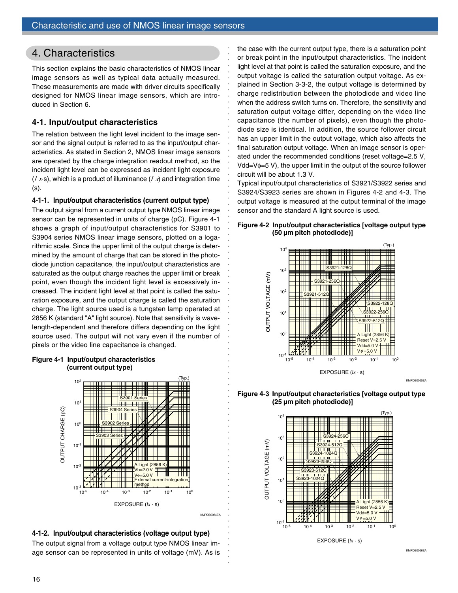# 4. Characteristics

This section explains the basic characteristics of NMOS linear image sensors as well as typical data actually measured. These measurements are made with driver circuits specifically designed for NMOS linear image sensors, which are introduced in Section 6.

## **4-1. Input/output characteristics**

The relation between the light level incident to the image sensor and the signal output is referred to as the input/output characteristics. As stated in Section 2, NMOS linear image sensors are operated by the charge integration readout method, so the incident light level can be expressed as incident light exposure  $(l \times s)$ , which is a product of illuminance  $(l \times s)$  and integration time (s).

## **4-1-1. Input/output characteristics (current output type)**

The output signal from a current output type NMOS linear image sensor can be represented in units of charge (pC). Figure 4-1 shows a graph of input/output characteristics for S3901 to S3904 series NMOS linear image sensors, plotted on a logarithmic scale. Since the upper limit of the output charge is determined by the amount of charge that can be stored in the photodiode junction capacitance, the input/output characteristics are saturated as the output charge reaches the upper limit or break point, even though the incident light level is excessively increased. The incident light level at that point is called the saturation exposure, and the output charge is called the saturation charge. The light source used is a tungsten lamp operated at 2856 K (standard "A" light source). Note that sensitivity is wavelength-dependent and therefore differs depending on the light source used. The output will not vary even if the number of pixels or the video line capacitance is changed.







The output signal from a voltage output type NMOS linear image sensor can be represented in units of voltage (mV). As is

the case with the current output type, there is a saturation point or break point in the input/output characteristics. The incident light level at that point is called the saturation exposure, and the output voltage is called the saturation output voltage. As explained in Section 3-3-2, the output voltage is determined by charge redistribution between the photodiode and video line when the address switch turns on. Therefore, the sensitivity and saturation output voltage differ, depending on the video line capacitance (the number of pixels), even though the photodiode size is identical. In addition, the source follower circuit has an upper limit in the output voltage, which also affects the final saturation output voltage. When an image sensor is operated under the recommended conditions (reset voltage=2.5 V, Vdd=Vφ=5 V), the upper limit in the output of the source follower circuit will be about 1.3 V.

Typical input/output characteristics of S3921/S3922 series and S3924/S3923 series are shown in Figures 4-2 and 4-3. The output voltage is measured at the output terminal of the image sensor and the standard A light source is used.

○○○○○○○○○○○○○○○○○○○○○○○○○○○○○○○○○○○○○○○○○○○○○○○○○○○○○

○○○○○○○○○○○○○○○○○○○○○○○○○○○○○○

KMPDB0064FA









KMPDB0066EA

KMPDB0065EA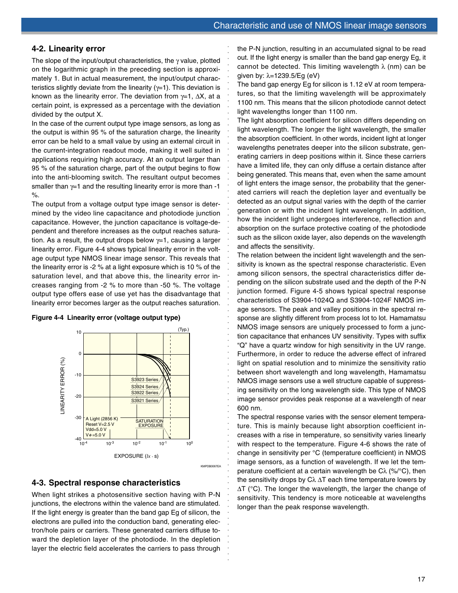## **4-2. Linearity error**

The slope of the input/output characteristics, the  $\gamma$  value, plotted on the logarithmic graph in the preceding section is approximately 1. But in actual measurement, the input/output characteristics slightly deviate from the linearity  $(y=1)$ . This deviation is known as the linearity error. The deviation from  $\gamma=1$ ,  $\Delta X$ , at a certain point, is expressed as a percentage with the deviation divided by the output X.

In the case of the current output type image sensors, as long as the output is within 95 % of the saturation charge, the linearity error can be held to a small value by using an external circuit in the current-integration readout mode, making it well suited in applications requiring high accuracy. At an output larger than 95 % of the saturation charge, part of the output begins to flow into the anti-blooming switch. The resultant output becomes smaller than  $\gamma=1$  and the resulting linearity error is more than -1 %.

○○○○○○○○○○○○○○○○○○○○○○○○○○○○○○○○○

○○○○○○○○○○○○○○○○○○○○○○○○○○○○○○○○○○○○○○○○○○○○○○○○○○○○○

The output from a voltage output type image sensor is determined by the video line capacitance and photodiode junction capacitance. However, the junction capacitance is voltage-dependent and therefore increases as the output reaches saturation. As a result, the output drops below  $\gamma=1$ , causing a larger linearity error. Figure 4-4 shows typical linearity error in the voltage output type NMOS linear image sensor. This reveals that the linearity error is -2 % at a light exposure which is 10 % of the saturation level, and that above this, the linearity error increases ranging from -2 % to more than -50 %. The voltage output type offers ease of use yet has the disadvantage that linearity error becomes larger as the output reaches saturation.





## **4-3. Spectral response characteristics**

When light strikes a photosensitive section having with P-N junctions, the electrons within the valence band are stimulated. If the light energy is greater than the band gap Eg of silicon, the electrons are pulled into the conduction band, generating electron/hole pairs or carriers. These generated carriers diffuse toward the depletion layer of the photodiode. In the depletion layer the electric field accelerates the carriers to pass through

the P-N junction, resulting in an accumulated signal to be read out. If the light energy is smaller than the band gap energy Eg, it cannot be detected. This limiting wavelength  $\lambda$  (nm) can be given by: λ=1239.5/Eg (eV)

The band gap energy Eg for silicon is 1.12 eV at room temperatures, so that the limiting wavelength will be approximately 1100 nm. This means that the silicon photodiode cannot detect light wavelengths longer than 1100 nm.

The light absorption coefficient for silicon differs depending on light wavelength. The longer the light wavelength, the smaller the absorption coefficient. In other words, incident light at longer wavelengths penetrates deeper into the silicon substrate, generating carriers in deep positions within it. Since these carriers have a limited life, they can only diffuse a certain distance after being generated. This means that, even when the same amount of light enters the image sensor, the probability that the generated carriers will reach the depletion layer and eventually be detected as an output signal varies with the depth of the carrier generation or with the incident light wavelength. In addition, how the incident light undergoes interference, reflection and absorption on the surface protective coating of the photodiode such as the silicon oxide layer, also depends on the wavelength and affects the sensitivity.

The relation between the incident light wavelength and the sensitivity is known as the spectral response characteristic. Even among silicon sensors, the spectral characteristics differ depending on the silicon substrate used and the depth of the P-N junction formed. Figure 4-5 shows typical spectral response characteristics of S3904-1024Q and S3904-1024F NMOS image sensors. The peak and valley positions in the spectral response are slightly different from process lot to lot. Hamamatsu NMOS image sensors are uniquely processed to form a junction capacitance that enhances UV sensitivity. Types with suffix "Q" have a quartz window for high sensitivity in the UV range. Furthermore, in order to reduce the adverse effect of infrared light on spatial resolution and to minimize the sensitivity ratio between short wavelength and long wavelength, Hamamatsu NMOS image sensors use a well structure capable of suppressing sensitivity on the long wavelength side. This type of NMOS image sensor provides peak response at a wavelength of near 600 nm.

The spectral response varies with the sensor element temperature. This is mainly because light absorption coefficient increases with a rise in temperature, so sensitivity varies linearly with respect to the temperature. Figure 4-6 shows the rate of change in sensitivity per °C (temperature coefficient) in NMOS image sensors, as a function of wavelength. If we let the temperature coefficient at a certain wavelength be  $C\lambda$  (%/°C), then the sensitivity drops by  $C\lambda \Delta T$  each time temperature lowers by ΔT (°C). The longer the wavelength, the larger the change of sensitivity. This tendency is more noticeable at wavelengths longer than the peak response wavelength.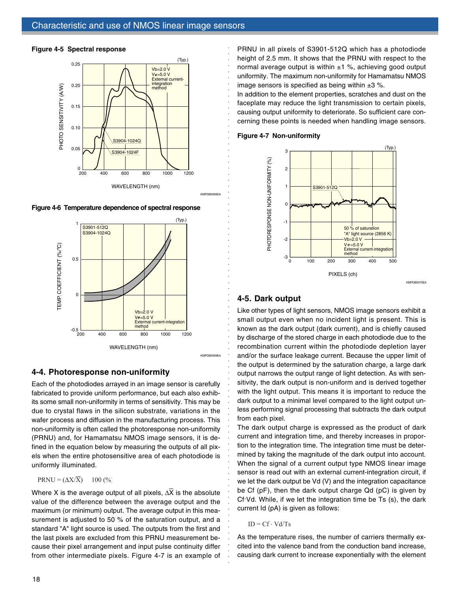#### **Figure 4-5 Spectral response**



**Figure 4-6 Temperature dependence of spectral response**



## **4-4. Photoresponse non-uniformity**

Each of the photodiodes arrayed in an image sensor is carefully fabricated to provide uniform performance, but each also exhibits some small non-uniformity in terms of sensitivity. This may be due to crystal flaws in the silicon substrate, variations in the wafer process and diffusion in the manufacturing process. This non-uniformity is often called the photoresponse non-uniformity (PRNU) and, for Hamamatsu NMOS image sensors, it is defined in the equation below by measuring the outputs of all pixels when the entire photosensitive area of each photodiode is uniformly illuminated.

## $PRNU = (\Delta X/\overline{X})$  100 (%)

Where X is the average output of all pixels, ΔX is the absolute value of the difference between the average output and the maximum (or minimum) output. The average output in this measurement is adjusted to 50 % of the saturation output, and a standard "A" light source is used. The outputs from the first and the last pixels are excluded from this PRNU measurement because their pixel arrangement and input pulse continuity differ from other intermediate pixels. Figure 4-7 is an example of

PRNU in all pixels of S3901-512Q which has a photodiode height of 2.5 mm. It shows that the PRNU with respect to the normal average output is within  $\pm 1$  %, achieving good output uniformity. The maximum non-uniformity for Hamamatsu NMOS image sensors is specified as being within  $\pm 3$  %.

In addition to the element properties, scratches and dust on the faceplate may reduce the light transmission to certain pixels, causing output uniformity to deteriorate. So sufficient care concerning these points is needed when handling image sensors.

#### **Figure 4-7 Non-uniformity**



KMPDB0070EA

## **4-5. Dark output**

○○○○○○○○○○○○○○○○○○○○○○○○○○○○○○○○○○○○○○○○○○○○○○○○○○○○○

○○○○○○○○○○○○○○○○○○○○○○○○○○○○○○

Like other types of light sensors, NMOS image sensors exhibit a small output even when no incident light is present. This is known as the dark output (dark current), and is chiefly caused by discharge of the stored charge in each photodiode due to the recombination current within the photodiode depletion layer and/or the surface leakage current. Because the upper limit of the output is determined by the saturation charge, a large dark output narrows the output range of light detection. As with sensitivity, the dark output is non-uniform and is derived together with the light output. This means it is important to reduce the dark output to a minimal level compared to the light output unless performing signal processing that subtracts the dark output from each pixel.

The dark output charge is expressed as the product of dark current and integration time, and thereby increases in proportion to the integration time. The integration time must be determined by taking the magnitude of the dark output into account. When the signal of a current output type NMOS linear image sensor is read out with an external current-integration circuit, if we let the dark output be Vd (V) and the integration capacitance be Cf (pF), then the dark output charge Qd (pC) is given by Cf. Vd. While, if we let the integration time be Ts (s), the dark current Id (pA) is given as follows:

#### $ID = Cf \cdot Vd/Ts$

As the temperature rises, the number of carriers thermally excited into the valence band from the conduction band increase, causing dark current to increase exponentially with the element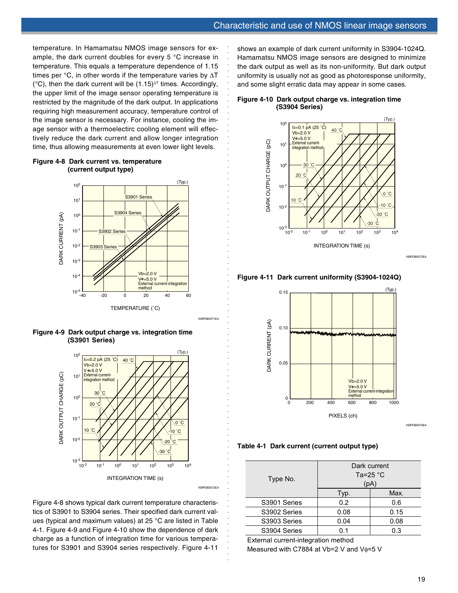temperature. In Hamamatsu NMOS image sensors for example, the dark current doubles for every 5 °C increase in temperature. This equals a temperature dependence of 1.15 times per  $°C$ , in other words if the temperature varies by  $\Delta T$ ( $^{\circ}$ C), then the dark current will be (1.15)<sup> $\Delta$ T</sup> times. Accordingly, the upper limit of the image sensor operating temperature is restricted by the magnitude of the dark output. In applications requiring high measurement accuracy, temperature control of the image sensor is necessary. For instance, cooling the image sensor with a thermoelectirc cooling element will effectively reduce the dark current and allow longer integration time, thus allowing measurements at even lower light levels.



## **Figure 4-8 Dark current vs. temperature (current output type)**





Figure 4-8 shows typical dark current temperature characteristics of S3901 to S3904 series. Their specified dark current values (typical and maximum values) at 25 °C are listed in Table 4-1. Figure 4-9 and Figure 4-10 show the dependence of dark charge as a function of integration time for various temperatures for S3901 and S3904 series respectively. Figure 4-11

shows an example of dark current uniformity in S3904-1024Q. Hamamatsu NMOS image sensors are designed to minimize the dark output as well as its non-uniformity. But dark output uniformity is usually not as good as photoresponse uniformity, and some slight erratic data may appear in some cases.

#### **Figure 4-10 Dark output charge vs. integration time (S3904 Series)**

○○○○○○○○○○○○○○○○○○○○○○○○○○○○○○○○○

○○○○○○○○○○○○○○○○○○○○○○○○○○○○○○○○○○○○○○○○○○○○○○○○○○○○○

KMPDB0071EA



KMPDB0073E

**Figure 4-11 Dark current uniformity (S3904-1024Q)**



KMPDB0074EA

**Table 4-1 Dark current (current output type)**

| Type No.     | Dark current<br>Ta=25 $^{\circ}$ C<br>(pA) |      |  |  |  |
|--------------|--------------------------------------------|------|--|--|--|
|              | Typ.                                       | Max. |  |  |  |
| S3901 Series | 0.2                                        | 0.6  |  |  |  |
| S3902 Series | 0.08                                       | 0.15 |  |  |  |
| S3903 Series | 0.04                                       | 0.08 |  |  |  |
| S3904 Series | 0.1                                        | 0.3  |  |  |  |

External current-integration method

Measured with C7884 at Vb=2 V and Vφ=5 V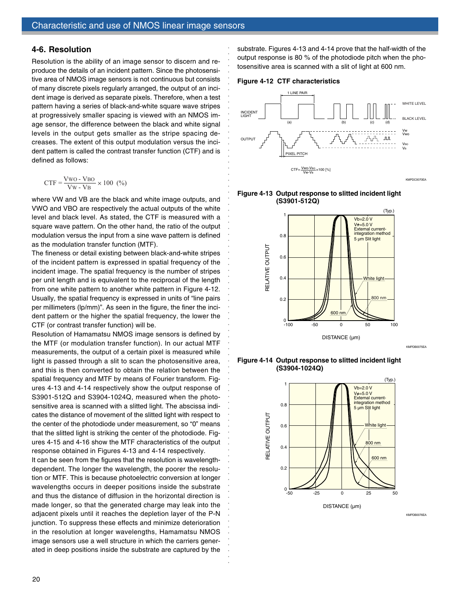## **4-6. Resolution**

Resolution is the ability of an image sensor to discern and reproduce the details of an incident pattern. Since the photosensitive area of NMOS image sensors is not continuous but consists of many discrete pixels regularly arranged, the output of an incident image is derived as separate pixels. Therefore, when a test pattern having a series of black-and-white square wave stripes at progressively smaller spacing is viewed with an NMOS image sensor, the difference between the black and white signal levels in the output gets smaller as the stripe spacing decreases. The extent of this output modulation versus the incident pattern is called the contrast transfer function (CTF) and is defined as follows:

$$
CTF = \frac{V_{WO} - V_{BO}}{V_{W} - V_{B}} \times 100 (%)
$$

where VW and VB are the black and white image outputs, and VWO and VBO are respectively the actual outputs of the white level and black level. As stated, the CTF is measured with a square wave pattern. On the other hand, the ratio of the output modulation versus the input from a sine wave pattern is defined as the modulation transfer function (MTF).

The fineness or detail existing between black-and-white stripes of the incident pattern is expressed in spatial frequency of the incident image. The spatial frequency is the number of stripes per unit length and is equivalent to the reciprocal of the length from one white pattern to another white pattern in Figure 4-12. Usually, the spatial frequency is expressed in units of "line pairs per millimeters (lp/mm)". As seen in the figure, the finer the incident pattern or the higher the spatial frequency, the lower the CTF (or contrast transfer function) will be.

Resolution of Hamamatsu NMOS image sensors is defined by the MTF (or modulation transfer function). In our actual MTF measurements, the output of a certain pixel is measured while light is passed through a slit to scan the photosensitive area, and this is then converted to obtain the relation between the spatial frequency and MTF by means of Fourier transform. Figures 4-13 and 4-14 respectively show the output response of S3901-512Q and S3904-1024Q, measured when the photosensitive area is scanned with a slitted light. The abscissa indicates the distance of movement of the slitted light with respect to the center of the photodiode under measurement, so "0" means that the slitted light is striking the center of the photodiode. Figures 4-15 and 4-16 show the MTF characteristics of the output response obtained in Figures 4-13 and 4-14 respectively.

It can be seen from the figures that the resolution is wavelengthdependent. The longer the wavelength, the poorer the resolution or MTF. This is because photoelectric conversion at longer wavelengths occurs in deeper positions inside the substrate and thus the distance of diffusion in the horizontal direction is made longer, so that the generated charge may leak into the adjacent pixels until it reaches the depletion layer of the P-N junction. To suppress these effects and minimize deterioration in the resolution at longer wavelengths, Hamamatsu NMOS image sensors use a well structure in which the carriers generated in deep positions inside the substrate are captured by the substrate. Figures 4-13 and 4-14 prove that the half-width of the output response is 80 % of the photodiode pitch when the photosensitive area is scanned with a slit of light at 600 nm.



○○○○○○○○○○○○○○○○○○○○○○○○○○○○○○○○○○○○○○○○○○○○○○○○○○○○○

○○○○○○○○○○○○○○○○○○○○○○○○○○○○○○



**Figure 4-13 Output response to slitted incident light (S3901-512Q)**



**Figure 4-14 Output response to slitted incident light (S3904-1024Q)**



KMPDB0076EA

KMPDB0075EA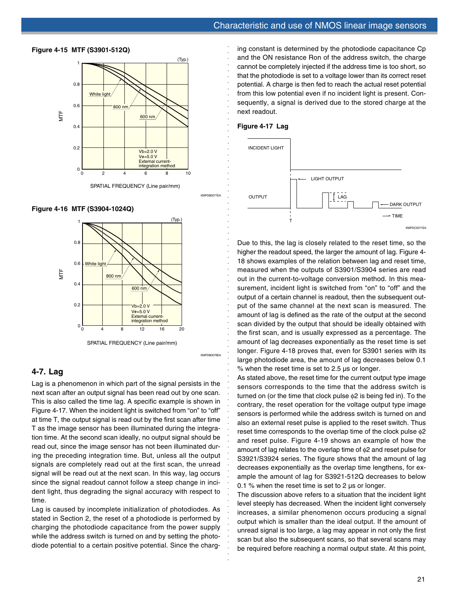

SPATIAL FREQUENCY (Line pair/mm)

**Figure 4-16 MTF (S3904-1024Q)**

**Figure 4-15 MTF (S3901-512Q)**



SPATIAL FREQUENCY (Line pair/mm)

#### KMPDB0078EA

○○○○○○○○○○○○○○○○○○○○○○○○○○○○○○○○○○○○○○○○○○○○○○○○○○○○○

## **4-7. Lag**

Lag is a phenomenon in which part of the signal persists in the next scan after an output signal has been read out by one scan. This is also called the time lag. A specific example is shown in Figure 4-17. When the incident light is switched from "on" to "off" at time T, the output signal is read out by the first scan after time T as the image sensor has been illuminated during the integration time. At the second scan ideally, no output signal should be read out, since the image sensor has not been illuminated during the preceding integration time. But, unless all the output signals are completely read out at the first scan, the unread signal will be read out at the next scan. In this way, lag occurs since the signal readout cannot follow a steep change in incident light, thus degrading the signal accuracy with respect to time.

Lag is caused by incomplete initialization of photodiodes. As stated in Section 2, the reset of a photodiode is performed by charging the photodiode capacitance from the power supply while the address switch is turned on and by setting the photodiode potential to a certain positive potential. Since the charg-

ing constant is determined by the photodiode capacitance Cp and the ON resistance Ron of the address switch, the charge cannot be completely injected if the address time is too short, so that the photodiode is set to a voltage lower than its correct reset potential. A charge is then fed to reach the actual reset potential from this low potential even if no incident light is present. Consequently, a signal is derived due to the stored charge at the next readout.

## **Figure 4-17 Lag**

○○○○○○○○○○○○○○○○○○○○○○○○○○○○○○○○○

KMPDB0077EA



Due to this, the lag is closely related to the reset time, so the higher the readout speed, the larger the amount of lag. Figure 4- 18 shows examples of the relation between lag and reset time, measured when the outputs of S3901/S3904 series are read out in the current-to-voltage conversion method. In this measurement, incident light is switched from "on" to "off" and the output of a certain channel is readout, then the subsequent output of the same channel at the next scan is measured. The amount of lag is defined as the rate of the output at the second scan divided by the output that should be ideally obtained with the first scan, and is usually expressed as a percentage. The amount of lag decreases exponentially as the reset time is set longer. Figure 4-18 proves that, even for S3901 series with its large photodiode area, the amount of lag decreases below 0.1 % when the reset time is set to 2.5 µs or longer.

As stated above, the reset time for the current output type image sensors corresponds to the time that the address switch is turned on (or the time that clock pulse φ2 is being fed in). To the contrary, the reset operation for the voltage output type image sensors is performed while the address switch is turned on and also an external reset pulse is applied to the reset switch. Thus reset time corresponds to the overlap time of the clock pulse φ2 and reset pulse. Figure 4-19 shows an example of how the amount of lag relates to the overlap time of φ2 and reset pulse for S3921/S3924 series. The figure shows that the amount of lag decreases exponentially as the overlap time lengthens, for example the amount of lag for S3921-512Q decreases to below 0.1 % when the reset time is set to 2  $\mu$ s or longer.

The discussion above refers to a situation that the incident light level steeply has decreased. When the incident light conversely increases, a similar phenomenon occurs producing a signal output which is smaller than the ideal output. If the amount of unread signal is too large, a lag may appear in not only the first scan but also the subsequent scans, so that several scans may be required before reaching a normal output state. At this point,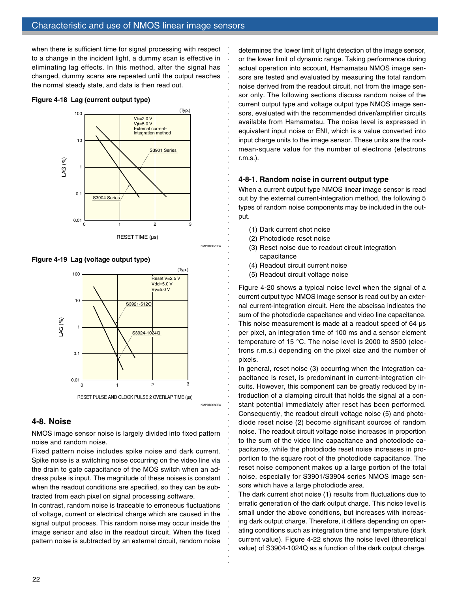when there is sufficient time for signal processing with respect to a change in the incident light, a dummy scan is effective in eliminating lag effects. In this method, after the signal has changed, dummy scans are repeated until the output reaches the normal steady state, and data is then read out.

#### **Figure 4-18 Lag (current output type)**





**Figure 4-19 Lag (voltage output type)**



## **4-8. Noise**

NMOS image sensor noise is largely divided into fixed pattern noise and random noise.

Fixed pattern noise includes spike noise and dark current. Spike noise is a switching noise occurring on the video line via the drain to gate capacitance of the MOS switch when an address pulse is input. The magnitude of these noises is constant when the readout conditions are specified, so they can be subtracted from each pixel on signal processing software.

In contrast, random noise is traceable to erroneous fluctuations of voltage, current or electrical charge which are caused in the signal output process. This random noise may occur inside the image sensor and also in the readout circuit. When the fixed pattern noise is subtracted by an external circuit, random noise determines the lower limit of light detection of the image sensor, or the lower limit of dynamic range. Taking performance during actual operation into account, Hamamatsu NMOS image sensors are tested and evaluated by measuring the total random noise derived from the readout circuit, not from the image sensor only. The following sections discuss random noise of the current output type and voltage output type NMOS image sensors, evaluated with the recommended driver/amplifier circuits available from Hamamatsu. The noise level is expressed in equivalent input noise or ENI, which is a value converted into input charge units to the image sensor. These units are the rootmean-square value for the number of electrons (electrons r.m.s.).

## **4-8-1. Random noise in current output type**

When a current output type NMOS linear image sensor is read out by the external current-integration method, the following 5 types of random noise components may be included in the output.

(1) Dark current shot noise

○○○○○○○○○○○○○○○○○○○○○○○○○○○○○○○○○○○○○○○○○○○○○○○○○○○○○

KMPDB0079EA

○○○○○○○○○○○○○○○○○○○○○○○○○○○○○○

- (2) Photodiode reset noise
- (3) Reset noise due to readout circuit integration capacitance
- (4) Readout circuit current noise
- (5) Readout circuit voltage noise

Figure 4-20 shows a typical noise level when the signal of a current output type NMOS image sensor is read out by an external current-integration circuit. Here the abscissa indicates the sum of the photodiode capacitance and video line capacitance. This noise measurement is made at a readout speed of 64  $\mu$ s per pixel, an integration time of 100 ms and a sensor element temperature of 15 °C. The noise level is 2000 to 3500 (electrons r.m.s.) depending on the pixel size and the number of pixels.

In general, reset noise (3) occurring when the integration capacitance is reset, is predominant in current-integration circuits. However, this component can be greatly reduced by introduction of a clamping circuit that holds the signal at a constant potential immediately after reset has been performed. Consequently, the readout circuit voltage noise (5) and photodiode reset noise (2) become significant sources of random noise. The readout circuit voltage noise increases in proportion to the sum of the video line capacitance and photodiode capacitance, while the photodiode reset noise increases in proportion to the square root of the photodiode capacitance. The reset noise component makes up a large portion of the total noise, especially for S3901/S3904 series NMOS image sensors which have a large photodiode area.

The dark current shot noise (1) results from fluctuations due to erratic generation of the dark output charge. This noise level is small under the above conditions, but increases with increasing dark output charge. Therefore, it differs depending on operating conditions such as integration time and temperature (dark current value). Figure 4-22 shows the noise level (theoretical value) of S3904-1024Q as a function of the dark output charge.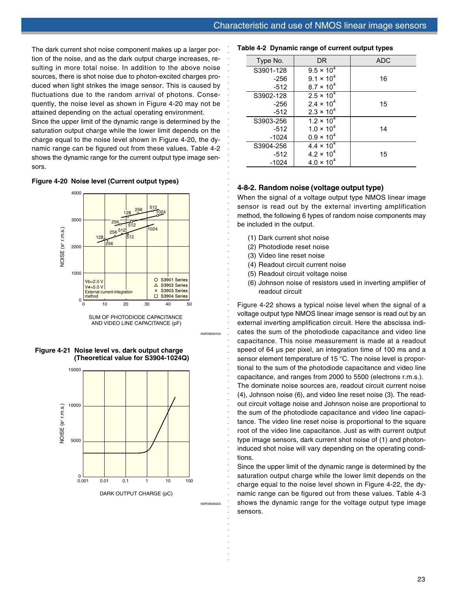The dark current shot noise component makes up a larger portion of the noise, and as the dark output charge increases, resulting in more total noise. In addition to the above noise sources, there is shot noise due to photon-excited charges produced when light strikes the image sensor. This is caused by fluctuations due to the random arrival of photons. Consequently, the noise level as shown in Figure 4-20 may not be attained depending on the actual operating environment.

Since the upper limit of the dynamic range is determined by the saturation output charge while the lower limit depends on the charge equal to the noise level shown in Figure 4-20, the dynamic range can be figured out from these values. Table 4-2 shows the dynamic range for the current output type image sensors.

## **Figure 4-20 Noise level (Current output types)**



SUM OF PHOTODIODE CAPACITANCE AND VIDEO LINE CAPACITANCE (pF)

KMPDB0081EA

○○○○○○○○○○○○○○○○○○○○○○○○○○○○○○○○○○○○○○○○○○○○○○○○○○○○○

○○○○○○○○○○○○○○○○○○○○○○○○○○○○○○○○○

**Figure 4-21 Noise level vs. dark output charge (Theoretical value for S3904-1024Q)**



KMPDB0082EA

#### **Table 4-2 Dynamic range of current output types**

| Type No.  | DR.                 | <b>ADC</b> |
|-----------|---------------------|------------|
| S3901-128 | $9.5 \times 10^{4}$ |            |
| $-256$    | $9.1 \times 10^{4}$ | 16         |
| $-512$    | $8.7 \times 10^{4}$ |            |
| S3902-128 | $2.5 \times 10^{4}$ |            |
| $-256$    | $2.4 \times 10^{4}$ | 15         |
| $-512$    | $2.3 \times 10^{4}$ |            |
| S3903-256 | $1.2 \times 10^{4}$ |            |
| $-512$    | $1.0 \times 10^{4}$ | 14         |
| $-1024$   | $0.9 \times 10^{4}$ |            |
| S3904-256 | $4.4 \times 10^{4}$ |            |
| $-512$    | $4.2 \times 10^{4}$ | 15         |
| $-1024$   | $4.0 \times 10^{4}$ |            |

## **4-8-2. Random noise (voltage output type)**

When the signal of a voltage output type NMOS linear image sensor is read out by the external inverting amplification method, the following 6 types of random noise components may be included in the output.

- (1) Dark current shot noise
- (2) Photodiode reset noise
- (3) Video line reset noise
- (4) Readout circuit current noise
- (5) Readout circuit voltage noise
- (6) Johnson noise of resistors used in inverting amplifier of readout circuit

Figure 4-22 shows a typical noise level when the signal of a voltage output type NMOS linear image sensor is read out by an external inverting amplification circuit. Here the abscissa indicates the sum of the photodiode capacitance and video line capacitance. This noise measurement is made at a readout speed of 64 µs per pixel, an integration time of 100 ms and a sensor element temperature of 15 °C. The noise level is proportional to the sum of the photodiode capacitance and video line capacitance, and ranges from 2000 to 5500 (electrons r.m.s.). The dominate noise sources are, readout circuit current noise (4), Johnson noise (6), and video line reset noise (3). The readout circuit voltage noise and Johnson noise are proportional to the sum of the photodiode capacitance and video line capacitance. The video line reset noise is proportional to the square root of the video line capacitance. Just as with current output type image sensors, dark current shot noise of (1) and photoninduced shot noise will vary depending on the operating conditions.

Since the upper limit of the dynamic range is determined by the saturation output charge while the lower limit depends on the charge equal to the noise level shown in Figure 4-22, the dynamic range can be figured out from these values. Table 4-3 shows the dynamic range for the voltage output type image sensors.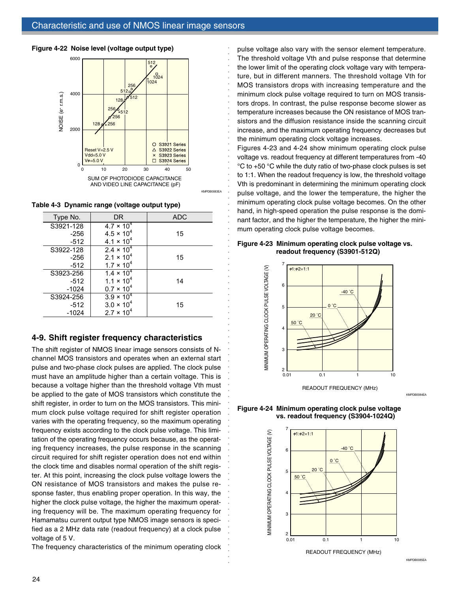

**Table 4-3 Dynamic range (voltage output type)**

| $\omega$ $\epsilon$ $\sim$ $\omega$ $\mu$ $\omega$ $\mu$ $\omega$ $\mu$ $\omega$ $\mu$ $\omega$ $\mu$ $\omega$ $\mu$ $\omega$ $\mu$ $\omega$ $\mu$ $\omega$ $\mu$ |                     |            |  |  |  |  |  |  |
|-------------------------------------------------------------------------------------------------------------------------------------------------------------------|---------------------|------------|--|--|--|--|--|--|
| Type No.                                                                                                                                                          | DR.                 | <b>ADC</b> |  |  |  |  |  |  |
| S3921-128                                                                                                                                                         | $4.7 \times 10^{4}$ |            |  |  |  |  |  |  |
| $-256$                                                                                                                                                            | $4.5 \times 10^{4}$ | 15         |  |  |  |  |  |  |
| $-512$                                                                                                                                                            | $4.1 \times 10^{4}$ |            |  |  |  |  |  |  |
| S3922-128                                                                                                                                                         | $2.4 \times 10^{4}$ |            |  |  |  |  |  |  |
| $-256$                                                                                                                                                            | $2.1 \times 10^{4}$ | 15         |  |  |  |  |  |  |
| $-512$                                                                                                                                                            | $1.7 \times 10^{4}$ |            |  |  |  |  |  |  |
| S3923-256                                                                                                                                                         | $1.4 \times 10^{4}$ |            |  |  |  |  |  |  |
| $-512$                                                                                                                                                            | $1.1 \times 10^{4}$ | 14         |  |  |  |  |  |  |
| $-1024$                                                                                                                                                           | $0.7 \times 10^{4}$ |            |  |  |  |  |  |  |
| S3924-256                                                                                                                                                         | $3.9 \times 10^{4}$ |            |  |  |  |  |  |  |
| $-512$                                                                                                                                                            | $3.0 \times 10^{4}$ | 15         |  |  |  |  |  |  |
| $-1024$                                                                                                                                                           | $2.7 \times 10^{4}$ |            |  |  |  |  |  |  |

## **4-9. Shift register frequency characteristics**

The shift register of NMOS linear image sensors consists of Nchannel MOS transistors and operates when an external start pulse and two-phase clock pulses are applied. The clock pulse must have an amplitude higher than a certain voltage. This is because a voltage higher than the threshold voltage Vth must be applied to the gate of MOS transistors which constitute the shift register, in order to turn on the MOS transistors. This minimum clock pulse voltage required for shift register operation varies with the operating frequency, so the maximum operating frequency exists according to the clock pulse voltage. This limitation of the operating frequency occurs because, as the operating frequency increases, the pulse response in the scanning circuit required for shift register operation does not end within the clock time and disables normal operation of the shift register. At this point, increasing the clock pulse voltage lowers the ON resistance of MOS transistors and makes the pulse response faster, thus enabling proper operation. In this way, the higher the clock pulse voltage, the higher the maximum operating frequency will be. The maximum operating frequency for Hamamatsu current output type NMOS image sensors is specified as a 2 MHz data rate (readout frequency) at a clock pulse voltage of 5 V.

The frequency characteristics of the minimum operating clock

pulse voltage also vary with the sensor element temperature. The threshold voltage Vth and pulse response that determine the lower limit of the operating clock voltage vary with temperature, but in different manners. The threshold voltage Vth for MOS transistors drops with increasing temperature and the minimum clock pulse voltage required to turn on MOS transistors drops. In contrast, the pulse response become slower as temperature increases because the ON resistance of MOS transistors and the diffusion resistance inside the scanning circuit increase, and the maximum operating frequency decreases but the minimum operating clock voltage increases.

Figures 4-23 and 4-24 show minimum operating clock pulse voltage vs. readout frequency at different temperatures from -40 °C to +50 °C while the duty ratio of two-phase clock pulses is set to 1:1. When the readout frequency is low, the threshold voltage Vth is predominant in determining the minimum operating clock pulse voltage, and the lower the temperature, the higher the minimum operating clock pulse voltage becomes. On the other hand, in high-speed operation the pulse response is the dominant factor, and the higher the temperature, the higher the minimum operating clock pulse voltage becomes.

#### **Figure 4-23 Minimum operating clock pulse voltage vs. readout frequency (S3901-512Q)**

○○○○○○○○○○○○○○○○○○○○○○○○○○○○○○○○○○○○○○○○○○○○○○○○○○○○○

○○○○○○○○○○○○○○○○○○○○○○○○○○○○○○



**Figure 4-24 Minimum operating clock pulse voltage vs. readout frequency (S3904-1024Q)**



READOUT FREQUENCY (MHz)

KMPDB0084EA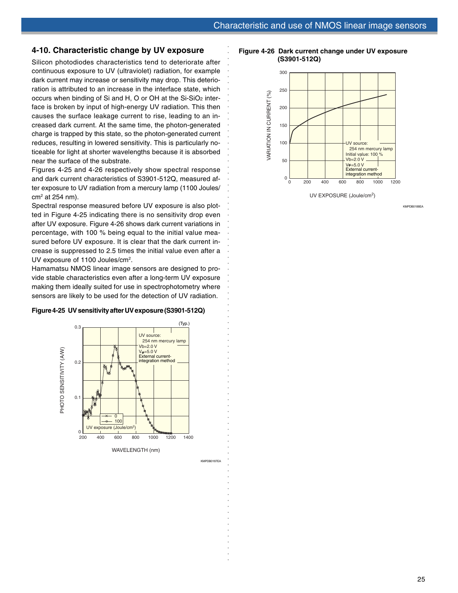## **4-10. Characteristic change by UV exposure**

Silicon photodiodes characteristics tend to deteriorate after continuous exposure to UV (ultraviolet) radiation, for example dark current may increase or sensitivity may drop. This deterioration is attributed to an increase in the interface state, which occurs when binding of Si and H, O or OH at the Si-SiO<sub>2</sub> interface is broken by input of high-energy UV radiation. This then causes the surface leakage current to rise, leading to an increased dark current. At the same time, the photon-generated charge is trapped by this state, so the photon-generated current reduces, resulting in lowered sensitivity. This is particularly noticeable for light at shorter wavelengths because it is absorbed near the surface of the substrate.

Figures 4-25 and 4-26 respectively show spectral response and dark current characteristics of S3901-512Q, measured after exposure to UV radiation from a mercury lamp (1100 Joules/ cm2 at 254 nm).

Spectral response measured before UV exposure is also plotted in Figure 4-25 indicating there is no sensitivity drop even after UV exposure. Figure 4-26 shows dark current variations in percentage, with 100 % being equal to the initial value measured before UV exposure. It is clear that the dark current increase is suppressed to 2.5 times the initial value even after a UV exposure of 1100 Joules/cm<sup>2</sup>.

Hamamatsu NMOS linear image sensors are designed to provide stable characteristics even after a long-term UV exposure making them ideally suited for use in spectrophotometry where sensors are likely to be used for the detection of UV radiation.

#### **Figure 4-25 UV sensitivity after UV exposure (S3901-512Q)**



KMPDB0187EA

○○○○○○○○○○○○○○○○○○○○○○○○○○○○○○○○○○○○○○○○○○○○○○○○○○○○○

○○○○○○○○○○○○○○○○○○○○○○○○○○○○○○○○○

**Figure 4-26 Dark current change under UV exposure (S3901-512Q)**



UV EXPOSURE (Joule/cm2)

KMPDB0188EA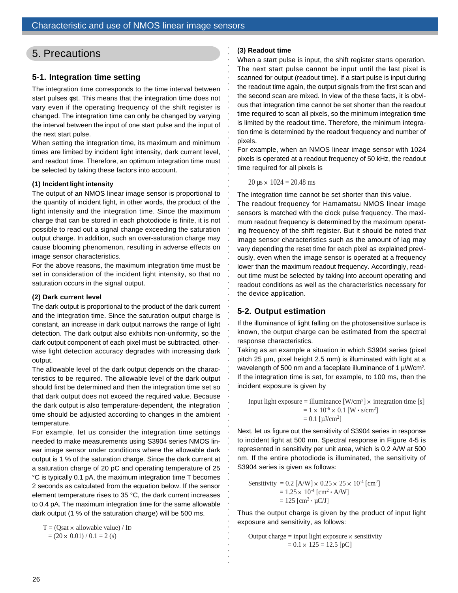# 5. Precautions

## **5-1. Integration time setting**

The integration time corresponds to the time interval between start pulses φst. This means that the integration time does not vary even if the operating frequency of the shift register is changed. The integration time can only be changed by varying the interval between the input of one start pulse and the input of the next start pulse.

When setting the integration time, its maximum and minimum times are limited by incident light intensity, dark current level, and readout time. Therefore, an optimum integration time must be selected by taking these factors into account.

## **(1) Incident light intensity**

The output of an NMOS linear image sensor is proportional to the quantity of incident light, in other words, the product of the light intensity and the integration time. Since the maximum charge that can be stored in each photodiode is finite, it is not possible to read out a signal change exceeding the saturation output charge. In addition, such an over-saturation charge may cause blooming phenomenon, resulting in adverse effects on image sensor characteristics.

For the above reasons, the maximum integration time must be set in consideration of the incident light intensity, so that no saturation occurs in the signal output.

## **(2) Dark current level**

The dark output is proportional to the product of the dark current and the integration time. Since the saturation output charge is constant, an increase in dark output narrows the range of light detection. The dark output also exhibits non-uniformity, so the dark output component of each pixel must be subtracted, otherwise light detection accuracy degrades with increasing dark output.

The allowable level of the dark output depends on the characteristics to be required. The allowable level of the dark output should first be determined and then the integration time set so that dark output does not exceed the required value. Because the dark output is also temperature-dependent, the integration time should be adjusted according to changes in the ambient temperature.

For example, let us consider the integration time settings needed to make measurements using S3904 series NMOS linear image sensor under conditions where the allowable dark output is 1 % of the saturation charge. Since the dark current at a saturation charge of 20 pC and operating temperature of 25 °C is typically 0.1 pA, the maximum integration time T becomes 2 seconds as calculated from the equation below. If the sensor element temperature rises to 35 °C, the dark current increases to 0.4 pA. The maximum integration time for the same allowable dark output (1 % of the saturation charge) will be 500 ms.

 $T = (Qsat \times allowedbe value) / ID$ 

#### $=(20 \times 0.01) / 0.1 = 2$  (s)

#### **(3) Readout time**

When a start pulse is input, the shift register starts operation. The next start pulse cannot be input until the last pixel is scanned for output (readout time). If a start pulse is input during the readout time again, the output signals from the first scan and the second scan are mixed. In view of the these facts, it is obvious that integration time cannot be set shorter than the readout time required to scan all pixels, so the minimum integration time is limited by the readout time. Therefore, the minimum integration time is determined by the readout frequency and number of pixels.

For example, when an NMOS linear image sensor with 1024 pixels is operated at a readout frequency of 50 kHz, the readout time required for all pixels is

 $20 \text{ }\mu\text{s} \times 1024 = 20.48 \text{ ms}$ 

aaaaaaaaaaaaaaaaaaaaaaaaaaaaaaaaaaaaaaaaaaaaaaaaaaaaa

aaaaaaaaaaaaaaaaaaaaaaaaaaaaaaaaaa

The integration time cannot be set shorter than this value. The readout frequency for Hamamatsu NMOS linear image sensors is matched with the clock pulse frequency. The maximum readout frequency is determined by the maximum operating frequency of the shift register. But it should be noted that image sensor characteristics such as the amount of lag may vary depending the reset time for each pixel as explained previously, even when the image sensor is operated at a frequency lower than the maximum readout frequency. Accordingly, readout time must be selected by taking into account operating and readout conditions as well as the characteristics necessary for the device application.

## **5-2. Output estimation**

If the illuminance of light falling on the photosensitive surface is known, the output charge can be estimated from the spectral response characteristics.

Taking as an example a situation in which S3904 series (pixel pitch 25 µm, pixel height 2.5 mm) is illuminated with light at a wavelength of 500 nm and a faceplate illuminance of 1  $\mu$ W/cm<sup>2</sup>. If the integration time is set, for example, to 100 ms, then the incident exposure is given by

Input light exposure = illuminance  $[W/cm^2] \times$  integration time [s]  $= 1 \times 10^{-6} \times 0.1$  [W  $\cdot$  s/cm<sup>2</sup>]  $= 0.1$  [ $\mu$ J/cm<sup>2</sup>]

Next, let us figure out the sensitivity of S3904 series in response to incident light at 500 nm. Spectral response in Figure 4-5 is represented in sensitivity per unit area, which is 0.2 A/W at 500 nm. If the entire photodiode is illuminated, the sensitivity of S3904 series is given as follows:

Sensitivity = 0.2 [A/W]  $\times$  0.25  $\times$  25  $\times$  10<sup>-4</sup> [cm<sup>2</sup>]  $= 1.25 \times 10^{-4}$  [cm<sup>2</sup>  $\cdot$  A/W]  $= 125$  [cm<sup>2</sup>  $\cdot \mu$ C/J]

Thus the output charge is given by the product of input light exposure and sensitivity, as follows:

Output charge = input light exposure × sensitivity  
= 
$$
0.1 \times 125 = 12.5
$$
 [pC]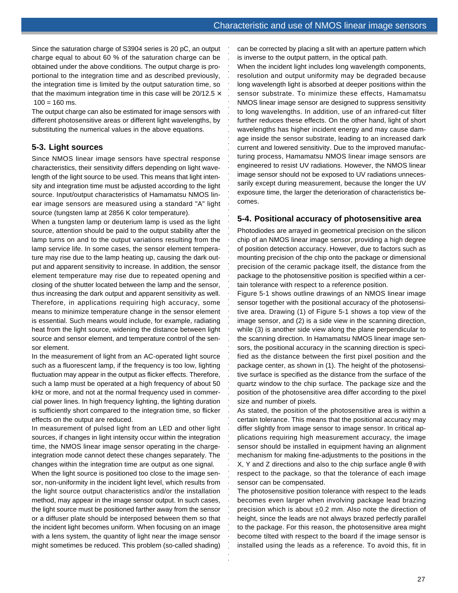Since the saturation charge of S3904 series is 20 pC, an output charge equal to about 60 % of the saturation charge can be obtained under the above conditions. The output charge is proportional to the integration time and as described previously, the integration time is limited by the output saturation time, so that the maximum integration time in this case will be  $20/12.5 \times$  $100 = 160$  ms.

The output charge can also be estimated for image sensors with different photosensitive areas or different light wavelengths, by substituting the numerical values in the above equations.

## **5-3. Light sources**

Since NMOS linear image sensors have spectral response characteristics, their sensitivity differs depending on light wavelength of the light source to be used. This means that light intensity and integration time must be adjusted according to the light source. Input/output characteristics of Hamamatsu NMOS linear image sensors are measured using a standard "A" light source (tungsten lamp at 2856 K color temperature).

When a tungsten lamp or deuterium lamp is used as the light source, attention should be paid to the output stability after the lamp turns on and to the output variations resulting from the lamp service life. In some cases, the sensor element temperature may rise due to the lamp heating up, causing the dark output and apparent sensitivity to increase. In addition, the sensor element temperature may rise due to repeated opening and closing of the shutter located between the lamp and the sensor, thus increasing the dark output and apparent sensitivity as well. Therefore, in applications requiring high accuracy, some means to minimize temperature change in the sensor element is essential. Such means would include, for example, radiating heat from the light source, widening the distance between light source and sensor element, and temperature control of the sensor element.

In the measurement of light from an AC-operated light source such as a fluorescent lamp, if the frequency is too low, lighting fluctuation may appear in the output as flicker effects. Therefore, such a lamp must be operated at a high frequency of about 50 kHz or more, and not at the normal frequency used in commercial power lines. In high frequency lighting, the lighting duration is sufficiently short compared to the integration time, so flicker effects on the output are reduced.

In measurement of pulsed light from an LED and other light sources, if changes in light intensity occur within the integration time, the NMOS linear image sensor operating in the chargeintegration mode cannot detect these changes separately. The changes within the integration time are output as one signal.

When the light source is positioned too close to the image sensor, non-uniformity in the incident light level, which results from the light source output characteristics and/or the installation method, may appear in the image sensor output. In such cases, the light source must be positioned farther away from the sensor or a diffuser plate should be interposed between them so that the incident light becomes uniform. When focusing on an image with a lens system, the quantity of light near the image sensor might sometimes be reduced. This problem (so-called shading)

can be corrected by placing a slit with an aperture pattern which is inverse to the output pattern, in the optical path.

When the incident light includes long wavelength components, resolution and output uniformity may be degraded because long wavelength light is absorbed at deeper positions within the sensor substrate. To minimize these effects, Hamamatsu NMOS linear image sensor are designed to suppress sensitivity to long wavelengths. In addition, use of an infrared-cut filter further reduces these effects. On the other hand, light of short wavelengths has higher incident energy and may cause damage inside the sensor substrate, leading to an increased dark current and lowered sensitivity. Due to the improved manufacturing process, Hamamatsu NMOS linear image sensors are engineered to resist UV radiations. However, the NMOS linear image sensor should not be exposed to UV radiations unnecessarily except during measurement, because the longer the UV exposure time, the larger the deterioration of characteristics becomes.

aaaaaaaaaaaaaaaaaaaaaaaaaaaaaaaaa

aaaaaaaaaaaaaaaaaaaaaaaaaaaaaaaaaaaaaaaaaaaaaaaaaaaaaa

## **5-4. Positional accuracy of photosensitive area**

Photodiodes are arrayed in geometrical precision on the silicon chip of an NMOS linear image sensor, providing a high degree of position detection accuracy. However, due to factors such as mounting precision of the chip onto the package or dimensional precision of the ceramic package itself, the distance from the package to the photosensitive position is specified within a certain tolerance with respect to a reference position.

Figure 5-1 shows outline drawings of an NMOS linear image sensor together with the positional accuracy of the photosensitive area. Drawing (1) of Figure 5-1 shows a top view of the image sensor, and (2) is a side view in the scanning direction, while (3) is another side view along the plane perpendicular to the scanning direction. In Hamamatsu NMOS linear image sensors, the positional accuracy in the scanning direction is specified as the distance between the first pixel position and the package center, as shown in (1). The height of the photosensitive surface is specified as the distance from the surface of the quartz window to the chip surface. The package size and the position of the photosensitive area differ according to the pixel size and number of pixels.

As stated, the position of the photosensitive area is within a certain tolerance. This means that the positional accuracy may differ slightly from image sensor to image sensor. In critical applications requiring high measurement accuracy, the image sensor should be installed in equipment having an alignment mechanism for making fine-adjustments to the positions in the X, Y and Z directions and also to the chip surface angle θ with respect to the package, so that the tolerance of each image sensor can be compensated.

The photosensitive position tolerance with respect to the leads becomes even larger when involving package lead brazing precision which is about ±0.2 mm. Also note the direction of height, since the leads are not always brazed perfectly parallel to the package. For this reason, the photosensitive area might become tilted with respect to the board if the image sensor is installed using the leads as a reference. To avoid this, fit in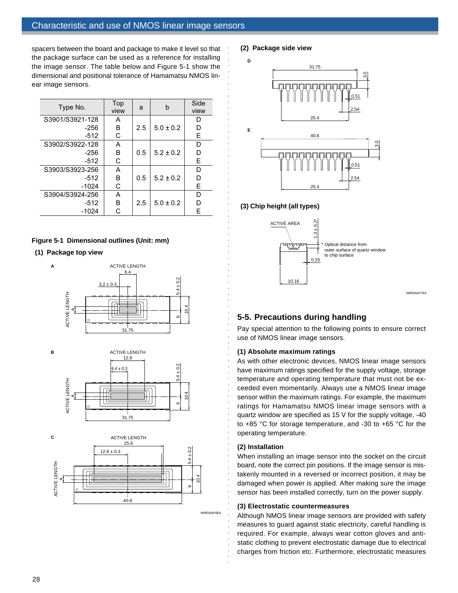spacers between the board and package to make it level so that the package surface can be used as a reference for installing the image sensor. The table below and Figure 5-1 show the dimensional and positional tolerance of Hamamatsu NMOS linear image sensors.

| Type No.        | Top<br>view | a   | b             | Side<br>view |
|-----------------|-------------|-----|---------------|--------------|
| S3901/S3921-128 | A           |     |               | D            |
| -256            | В           | 2.5 | $5.0 \pm 0.2$ | D            |
| $-512$          | С           |     |               | Е            |
| S3902/S3922-128 | A           |     |               | D            |
| -256            | В           | 0.5 | $5.2 \pm 0.2$ | D            |
| -512            | С           |     |               | Е            |
| S3903/S3923-256 | А           |     |               | D            |
| -512            | в           | 0.5 | $5.2 \pm 0.2$ | D            |
| $-1024$         | C           |     |               | E            |
| S3904/S3924-256 | А           |     |               | D            |
| -512            | в           | 2.5 | $5.0 \pm 0.2$ | D            |
| -1024           |             |     |               | F            |

## **Figure 5-1 Dimensional outlines (Unit: mm)**

**(1) Package top view**

**A**







KMPDA0076EA

aaaaaaaaaaaaaaaaaaaaaaaaaaaaaaaaaa

**(2) Package side view**



## **(3) Chip height (all types)**

aaaaaaaaaaaaaaaaaaaaaaaaaaaaaaaaaaaaaaaaaaaaaaaaaaaaa



## **5-5. Precautions during handling**

Pay special attention to the following points to ensure correct use of NMOS linear image sensors.

KMPDA0077EA

## **(1) Absolute maximum ratings**

As with other electronic devices, NMOS linear image sensors have maximum ratings specified for the supply voltage, storage temperature and operating temperature that must not be exceeded even momentarily. Always use a NMOS linear image sensor within the maximum ratings. For example, the maximum ratings for Hamamatsu NMOS linear image sensors with a quartz window are specified as 15 V for the supply voltage, -40 to +85 °C for storage temperature, and -30 to +65 °C for the operating temperature.

## **(2) Installation**

When installing an image sensor into the socket on the circuit board, note the correct pin positions. If the image sensor is mistakenly mounted in a reversed or incorrect position, it may be damaged when power is applied. After making sure the image sensor has been installed correctly, turn on the power supply.

## **(3) Electrostatic countermeasures**

Although NMOS linear image sensors are provided with safety measures to guard against static electricity, careful handling is required. For example, always wear cotton gloves and antistatic clothing to prevent electrostatic damage due to electrical charges from friction etc. Furthermore, electrostatic measures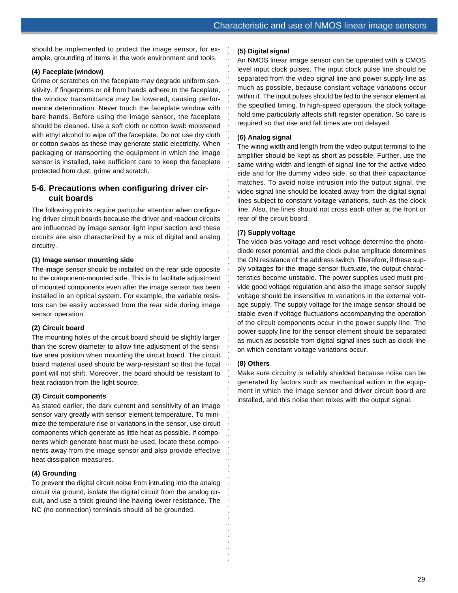should be implemented to protect the image sensor, for example, grounding of items in the work environment and tools.

## **(4) Faceplate (window)**

Grime or scratches on the faceplate may degrade uniform sensitivity. If fingerprints or oil from hands adhere to the faceplate, the window transmittance may be lowered, causing performance deterioration. Never touch the faceplate window with bare hands. Before using the image sensor, the faceplate should be cleaned. Use a soft cloth or cotton swab moistened with ethyl alcohol to wipe off the faceplate. Do not use dry cloth or cotton swabs as these may generate static electricity. When packaging or transporting the equipment in which the image sensor is installed, take sufficient care to keep the faceplate protected from dust, grime and scratch.

## **5-6. Precautions when configuring driver circuit boards**

The following points require particular attention when configuring driver circuit boards because the driver and readout circuits are influenced by image sensor light input section and these circuits are also characterized by a mix of digital and analog circuitry.

## **(1) Image sensor mounting side**

The image sensor should be installed on the rear side opposite to the component-mounted side. This is to facilitate adjustment of mounted components even after the image sensor has been installed in an optical system. For example, the variable resistors can be easily accessed from the rear side during image sensor operation.

## **(2) Circuit board**

The mounting holes of the circuit board should be slightly larger than the screw diameter to allow fine-adjustment of the sensitive area position when mounting the circuit board. The circuit board material used should be warp-resistant so that the focal point will not shift. Moreover, the board should be resistant to heat radiation from the light source.

## **(3) Circuit components**

As stated earlier, the dark current and sensitivity of an image sensor vary greatly with sensor element temperature. To minimize the temperature rise or variations in the sensor, use circuit components which generate as little heat as possible. If components which generate heat must be used, locate these components away from the image sensor and also provide effective heat dissipation measures.

## **(4) Grounding**

To prevent the digital circuit noise from intruding into the analog circuit via ground, isolate the digital circuit from the analog circuit, and use a thick ground line having lower resistance. The NC (no connection) terminals should all be grounded.

## **(5) Digital signal**

An NMOS linear image sensor can be operated with a CMOS level input clock pulses. The input clock pulse line should be separated from the video signal line and power supply line as much as possible, because constant voltage variations occur within it. The input pulses should be fed to the sensor element at the specified timing. In high-speed operation, the clock voltage hold time particularly affects shift register operation. So care is required so that rise and fall times are not delayed.

## **(6) Analog signal**

aaaaaaaaaaaaaaaaaaaaaaaaaaaaaaaaa

The wiring width and length from the video output terminal to the amplifier should be kept as short as possible. Further, use the same wiring width and length of signal line for the active video side and for the dummy video side, so that their capacitance matches. To avoid noise intrusion into the output signal, the video signal line should be located away from the digital signal lines subject to constant voltage variations, such as the clock line. Also, the lines should not cross each other at the front or rear of the circuit board.

## **(7) Supply voltage**

The video bias voltage and reset voltage determine the photodiode reset potential, and the clock pulse amplitude determines the ON resistance of the address switch. Therefore, if these supply voltages for the image sensor fluctuate, the output characteristics become unstable. The power supplies used must provide good voltage regulation and also the image sensor supply voltage should be insensitive to variations in the external voltage supply. The supply voltage for the image sensor should be stable even if voltage fluctuations accompanying the operation of the circuit components occur in the power supply line. The power supply line for the sensor element should be separated as much as possible from digital signal lines such as clock line on which constant voltage variations occur.

## **(8) Others**

aaaaaaaaaaaaaaaaaaaaaaaaaaaaaaaaaaaaaaaaaaaaaaaaaaaaaa

Make sure circuitry is reliably shielded because noise can be generated by factors such as mechanical action in the equipment in which the image sensor and driver circuit board are installed, and this noise then mixes with the output signal.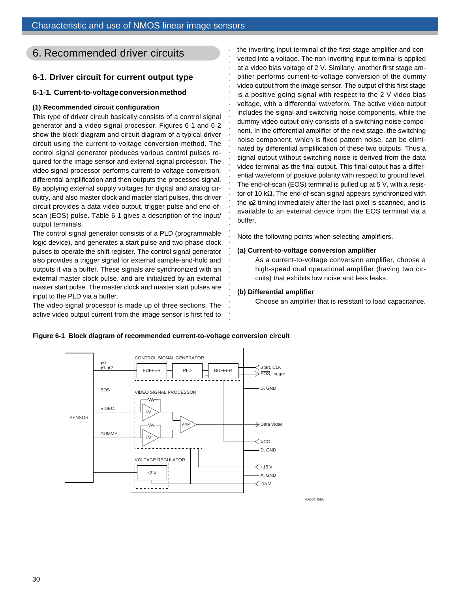# 6. Recommended driver circuits

## **6-1. Driver circuit for current output type**

## **6-1-1. Current-to-voltage conversion method**

## **(1) Recommended circuit configuration**

This type of driver circuit basically consists of a control signal generator and a video signal processor. Figures 6-1 and 6-2 show the block diagram and circuit diagram of a typical driver circuit using the current-to-voltage conversion method. The control signal generator produces various control pulses required for the image sensor and external signal processor. The video signal processor performs current-to-voltage conversion, differential amplification and then outputs the processed signal. By applying external supply voltages for digital and analog circuitry, and also master clock and master start pulses, this driver circuit provides a data video output, trigger pulse and end-ofscan (EOS) pulse. Table 6-1 gives a description of the input/ output terminals.

The control signal generator consists of a PLD (programmable logic device), and generates a start pulse and two-phase clock pulses to operate the shift register. The control signal generator also provides a trigger signal for external sample-and-hold and outputs it via a buffer. These signals are synchronized with an external master clock pulse, and are initialized by an external master start pulse. The master clock and master start pulses are input to the PLD via a buffer.

The video signal processor is made up of three sections. The active video output current from the image sensor is first fed to

the inverting input terminal of the first-stage amplifier and converted into a voltage. The non-inverting input terminal is applied at a video bias voltage of 2 V. Similarly, another first stage amplifier performs current-to-voltage conversion of the dummy video output from the image sensor. The output of this first stage is a positive going signal with respect to the 2 V video bias voltage, with a differential waveform. The active video output includes the signal and switching noise components, while the dummy video output only consists of a switching noise component. In the differential amplifier of the next stage, the switching noise component, which is fixed pattern noise, can be eliminated by differential amplification of these two outputs. Thus a signal output without switching noise is derived from the data video terminal as the final output. This final output has a differential waveform of positive polarity with respect to ground level. The end-of-scan (EOS) terminal is pulled up at 5 V, with a resistor of 10 kΩ. The end-of-scan signal appears synchronized with the φ2 timing immediately after the last pixel is scanned, and is available to an external device from the EOS terminal via a buffer.

Note the following points when selecting amplifiers.

#### **(a) Current-to-voltage conversion amplifier**

As a current-to-voltage conversion amplifier, choose a high-speed dual operational amplifier (having two circuits) that exhibits low noise and less leaks.

## **(b) Differential amplifier**

aaaaaaaaaaaaaaaaaaaaaaaaaaaa

aaaaaaaaaaaaaaaaaa

Choose an amplifier that is resistant to load capacitance.



**Figure 6-1 Block diagram of recommended current-to-voltage conversion circuit**

KACC0145EA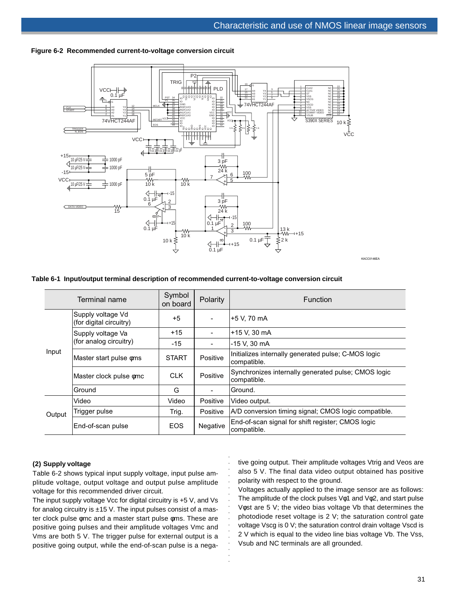

#### **Figure 6-2 Recommended current-to-voltage conversion circuit**

#### **Table 6-1 Input/output terminal description of recommended current-to-voltage conversion circuit**

|        | Terminal name                                | Symbol<br>on board | <b>Polarity</b> | <b>Function</b>                                                    |
|--------|----------------------------------------------|--------------------|-----------------|--------------------------------------------------------------------|
|        | Supply voltage Vd<br>(for digital circuitry) | $+5$               |                 | +5 V. 70 mA                                                        |
|        | Supply voltage Va                            | $+15$              |                 | +15 V, 30 mA                                                       |
| Input  | (for analog circuitry)                       | -15                |                 | -15 V, 30 mA                                                       |
|        | Master start pulse oms                       | <b>START</b>       | Positive        | Initializes internally generated pulse; C-MOS logic<br>compatible. |
|        | Master clock pulse omc                       | <b>CLK</b>         | Positive        | Synchronizes internally generated pulse; CMOS logic<br>compatible. |
|        | Ground                                       | G                  |                 | Ground.                                                            |
|        | Video                                        | Video              | Positive        | Video output.                                                      |
| Output | Trigger pulse                                | Trig.              | Positive        | A/D conversion timing signal; CMOS logic compatible.               |
|        | End-of-scan pulse                            | <b>EOS</b>         | Negative        | End-of-scan signal for shift register; CMOS logic<br>compatible.   |

aaaaaaaa

aaaaaaaaaa

#### **(2) Supply voltage**

Table 6-2 shows typical input supply voltage, input pulse amplitude voltage, output voltage and output pulse amplitude voltage for this recommended driver circuit.

The input supply voltage Vcc for digital circuitry is +5 V, and Vs for analog circuitry is  $\pm$ 15 V. The input pulses consist of a master clock pulse φmc and a master start pulse φms. These are positive going pulses and their amplitude voltages Vmc and Vms are both 5 V. The trigger pulse for external output is a positive going output, while the end-of-scan pulse is a negative going output. Their amplitude voltages Vtrig and Veos are also 5 V. The final data video output obtained has positive polarity with respect to the ground.

Voltages actually applied to the image sensor are as follows: The amplitude of the clock pulses Vφ1 and Vφ2, and start pulse Vφst are 5 V; the video bias voltage Vb that determines the photodiode reset voltage is 2 V; the saturation control gate voltage Vscg is 0 V; the saturation control drain voltage Vscd is 2 V which is equal to the video line bias voltage Vb. The Vss, Vsub and NC terminals are all grounded.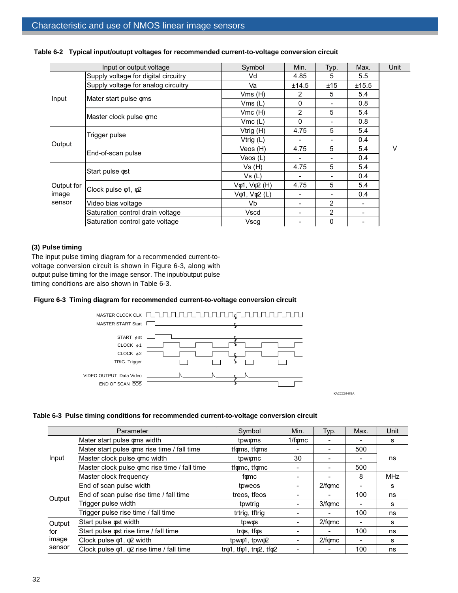|                                                  | Input or output voltage              | Symbol                   | Min.                     | Typ.          | Max.  | Unit |
|--------------------------------------------------|--------------------------------------|--------------------------|--------------------------|---------------|-------|------|
|                                                  | Supply voltage for digital circuitry | Vd                       | 4.85                     | 5             | 5.5   |      |
| Input<br>Output<br>Output for<br>image<br>sensor | Supply voltage for analog circuitry  | Va                       | ±14.5                    | ±15           | ±15.5 |      |
|                                                  | Mater start pulse oms                | Vms(H)                   | 2                        | 5             | 5.4   |      |
|                                                  |                                      | Vms(L)                   | 0                        |               | 0.8   |      |
|                                                  |                                      | Vmc(H)                   | $\overline{2}$           | 5             | 5.4   |      |
|                                                  | Master clock pulse omc               | Vmc(L)                   | 0                        |               | 0.8   |      |
|                                                  | Trigger pulse                        | Vtrig (H)                | 4.75                     | 5             | 5.4   |      |
|                                                  |                                      | Vtrig (L)                |                          |               | 0.4   |      |
|                                                  | End-of-scan pulse                    | Veos (H)                 | 4.75                     | 5             | 5.4   | V    |
|                                                  |                                      | Veos (L)                 | $\blacksquare$           |               | 0.4   |      |
|                                                  | Start pulse $\phi$ st                | Vs(H)                    | 4.75                     | 5             | 5.4   |      |
|                                                  |                                      | Vs (L)                   |                          |               | 0.4   |      |
|                                                  |                                      | $V\phi$ 1, $V\phi$ 2 (H) | 4.75                     | 5             | 5.4   |      |
|                                                  | Clock pulse $\phi$ 1, $\phi$ 2       | $V\phi$ 1, $V\phi$ 2 (L) | $\overline{\phantom{0}}$ |               | 0.4   |      |
|                                                  | Video bias voltage                   | Vb                       | $\blacksquare$           | 2             |       |      |
|                                                  | Saturation control drain voltage     | Vscd                     | $\overline{\phantom{0}}$ | $\mathcal{P}$ |       |      |
|                                                  | Saturation control gate voltage      | Vscq                     |                          | $\mathbf{0}$  |       |      |

## **Table 6-2 Typical input/outupt voltages for recommended current-to-voltage conversion circuit**

## **(3) Pulse timing**

The input pulse timing diagram for a recommended current-tovoltage conversion circuit is shown in Figure 6-3, along with output pulse timing for the image sensor. The input/output pulse timing conditions are also shown in Table 6-3.

## **Figure 6-3 Timing diagram for recommended current-to-voltage conversion circuit**



## **Table 6-3 Pulse timing conditions for recommended current-to-voltage conversion circuit**

|        | Parameter                                            | Symbol                                             | Min.           | Typ.                 | Max. | Unit       |
|--------|------------------------------------------------------|----------------------------------------------------|----------------|----------------------|------|------------|
|        | Mater start pulse oms width                          | tpwoms                                             | $1/f \phi mc$  |                      |      | s          |
|        | Mater start pulse oms rise time / fall time          | tfoms, tfoms                                       |                |                      | 500  |            |
| Input  | Master clock pulse omc width                         | tpwomc                                             | 30             |                      |      | ns         |
|        | Master clock pulse omc rise time / fall time         | tfomc, tfomc                                       |                |                      | 500  |            |
|        | Master clock frequency                               | fomc                                               |                |                      | 8    | <b>MHz</b> |
|        | End of scan pulse width                              | tpweos                                             | -              | $2/f \phi mc$        |      | s          |
|        | End of scan pulse rise time / fall time              | treos, tfeos                                       |                |                      | 100  | ns         |
| Output | Trigger pulse width                                  | tpwtrig                                            |                | $3/f$ <sub>omc</sub> |      | s          |
|        | Trigger pulse rise time / fall time                  | trtrig, tftrig                                     |                |                      | 100  | ns         |
| Output | Start pulse $\phi$ st width                          | tpwos                                              | $\blacksquare$ | $2/f \phi mc$        |      | s          |
| for    | Start pulse $\phi$ st rise time / fall time          | tros, tfos                                         |                |                      | 100  | ns         |
| image  | Clock pulse $\phi$ 1, $\phi$ 2 width                 | tpw $\phi$ 1, tpw $\phi$ 2                         |                | $2/f \phi mc$        |      | s          |
| sensor | Clock pulse $\phi$ 1, $\phi$ 2 rise time / fall time | tr $\phi$ 1, tf $\phi$ 1, tr $\phi$ 2, tf $\phi$ 2 |                |                      | 100  | ns         |

KACCC0147EA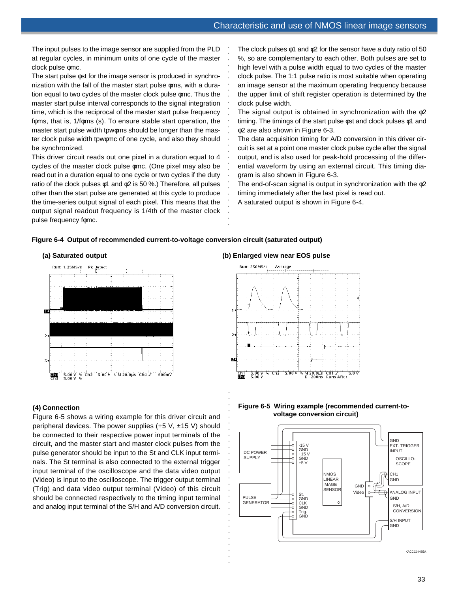The input pulses to the image sensor are supplied from the PLD at regular cycles, in minimum units of one cycle of the master clock pulse φmc.

The start pulse φst for the image sensor is produced in synchronization with the fall of the master start pulse φms, with a duration equal to two cycles of the master clock pulse φmc. Thus the master start pulse interval corresponds to the signal integration time, which is the reciprocal of the master start pulse frequency fφms, that is, 1/fφms (s). To ensure stable start operation, the master start pulse width tpwoms should be longer than the master clock pulse width tpwφmc of one cycle, and also they should be synchronized.

This driver circuit reads out one pixel in a duration equal to 4 cycles of the master clock pulse φmc. (One pixel may also be read out in a duration equal to one cycle or two cycles if the duty ratio of the clock pulses  $\phi$ 1 and  $\phi$ 2 is 50 %.) Therefore, all pulses other than the start pulse are generated at this cycle to produce the time-series output signal of each pixel. This means that the output signal readout frequency is 1/4th of the master clock pulse frequency fφmc.

The clock pulses  $\phi$ 1 and  $\phi$ 2 for the sensor have a duty ratio of 50 %, so are complementary to each other. Both pulses are set to high level with a pulse width equal to two cycles of the master clock pulse. The 1:1 pulse ratio is most suitable when operating an image sensor at the maximum operating frequency because the upper limit of shift register operation is determined by the clock pulse width.

The signal output is obtained in synchronization with the φ2 timing. The timings of the start pulse φst and clock pulses φ1 and φ2 are also shown in Figure 6-3.

The data acquisition timing for A/D conversion in this driver circuit is set at a point one master clock pulse cycle after the signal output, and is also used for peak-hold processing of the differential waveform by using an external circuit. This timing diagram is also shown in Figure 6-3.

The end-of-scan signal is output in synchronization with the φ2 timing immediately after the last pixel is read out.

A saturated output is shown in Figure 6-4.

## **Figure 6-4 Output of recommended current-to-voltage conversion circuit (saturated output)**



## **(4) Connection**

Figure 6-5 shows a wiring example for this driver circuit and peripheral devices. The power supplies  $(+5 V, \pm 15 V)$  should be connected to their respective power input terminals of the circuit, and the master start and master clock pulses from the pulse generator should be input to the St and CLK input terminals. The St terminal is also connected to the external trigger input terminal of the oscilloscope and the data video output (Video) is input to the oscilloscope. The trigger output terminal (Trig) and data video output terminal (Video) of this circuit should be connected respectively to the timing input terminal and analog input terminal of the S/H and A/D conversion circuit.

#### **(a) Saturated output (b) Enlarged view near EOS pulse**

aaaaaaaaaaaaaaaa



#### **Figure 6-5 Wiring example (recommended current-tovoltage conversion circuit)**



KACCC0148EA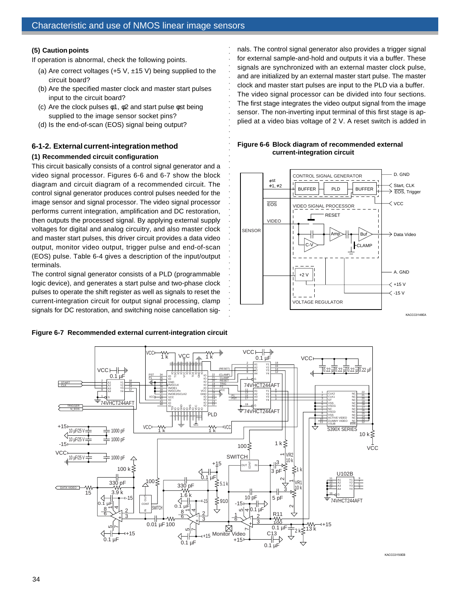## **(5) Caution points**

If operation is abnormal, check the following points.

- (a) Are correct voltages  $(+5 \text{ V}, \pm 15 \text{ V})$  being supplied to the circuit board?
- (b) Are the specified master clock and master start pulses input to the circuit board?
- (c) Are the clock pulses φ1, φ2 and start pulse φst being supplied to the image sensor socket pins?
- (d) Is the end-of-scan (EOS) signal being output?

## **6-1-2. External current-integration method**

#### **(1) Recommended circuit configuration**

This circuit basically consists of a control signal generator and a video signal processor. Figures 6-6 and 6-7 show the block diagram and circuit diagram of a recommended circuit. The control signal generator produces control pulses needed for the image sensor and signal processor. The video signal processor performs current integration, amplification and DC restoration, then outputs the processed signal. By applying external supply voltages for digital and analog circuitry, and also master clock and master start pulses, this driver circuit provides a data video output, monitor video output, trigger pulse and end-of-scan (EOS) pulse. Table 6-4 gives a description of the input/output terminals.

The control signal generator consists of a PLD (programmable logic device), and generates a start pulse and two-phase clock pulses to operate the shift register as well as signals to reset the current-integration circuit for output signal processing, clamp signals for DC restoration, and switching noise cancellation sig-

**Figure 6-7 Recommended external current-integration circuit**

nals. The control signal generator also provides a trigger signal for external sample-and-hold and outputs it via a buffer. These signals are synchronized with an external master clock pulse, and are initialized by an external master start pulse. The master clock and master start pulses are input to the PLD via a buffer. The video signal processor can be divided into four sections. The first stage integrates the video output signal from the image sensor. The non-inverting input terminal of this first stage is applied at a video bias voltage of 2 V. A reset switch is added in

## **Figure 6-6 Block diagram of recommended external current-integration circuit**





aaaaaaaaaaaaaaaaaaaaaaa

aaaaaaaaaaaaaaaaaaaaaaa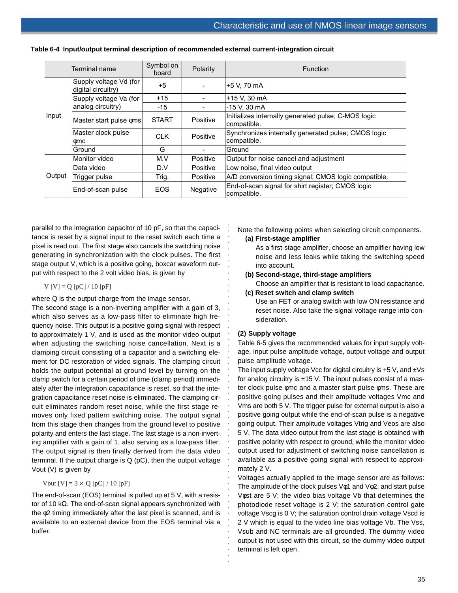|        | Terminal name                                | Symbol on<br>board | Polarity | <b>Function</b>                                                    |
|--------|----------------------------------------------|--------------------|----------|--------------------------------------------------------------------|
|        | Supply voltage Vd (for<br>digital circuitry) | +5                 |          | +5 V. 70 mA                                                        |
| Input  | Supply voltage Va (for                       | $+15$              |          | +15 V, 30 mA                                                       |
|        | analog circuitry)                            | -15                |          | -15 V, 30 mA                                                       |
|        | Master start pulse oms                       | <b>START</b>       | Positive | Initializes internally generated pulse; C-MOS logic<br>compatible. |
|        | Master clock pulse<br>omc                    | <b>CLK</b>         | Positive | Synchronizes internally generated pulse; CMOS logic<br>compatible. |
|        | Ground                                       | G                  |          | Ground                                                             |
|        | Monitor video                                | M.V                | Positive | Output for noise cancel and adjustment                             |
|        | Data video                                   | D.V                | Positive | Low noise, final video output                                      |
| Output | Trigger pulse                                | Trig.              | Positive | A/D conversion timing signal; CMOS logic compatible.               |
|        | End-of-scan pulse                            | <b>EOS</b>         | Negative | End-of-scan signal for shirt register; CMOS logic<br>compatible.   |

|  | Table 6-4  Input/output terminal description of recommended external current-integration circuit |  |  |  |  |
|--|--------------------------------------------------------------------------------------------------|--|--|--|--|
|  |                                                                                                  |  |  |  |  |

parallel to the integration capacitor of 10 pF, so that the capacitance is reset by a signal input to the reset switch each time a pixel is read out. The first stage also cancels the switching noise generating in synchronization with the clock pulses. The first stage output V, which is a positive going, boxcar waveform output with respect to the 2 volt video bias, is given by

 $V[V] = Q[pC]/10[pF]$ 

where Q is the output charge from the image sensor.

The second stage is a non-inverting amplifier with a gain of 3, which also serves as a low-pass filter to eliminate high frequency noise. This output is a positive going signal with respect to approximately 1 V, and is used as the monitor video output when adjusting the switching noise cancellation. Next is a clamping circuit consisting of a capacitor and a switching element for DC restoration of video signals. The clamping circuit holds the output potential at ground level by turning on the clamp switch for a certain period of time (clamp period) immediately after the integration capacitance is reset, so that the integration capacitance reset noise is eliminated. The clamping circuit eliminates random reset noise, while the first stage removes only fixed pattern switching noise. The output signal from this stage then changes from the ground level to positive polarity and enters the last stage. The last stage is a non-inverting amplifier with a gain of 1, also serving as a low-pass filter. The output signal is then finally derived from the data video terminal. If the output charge is Q (pC), then the output voltage Vout (V) is given by

#### Vout  $[V] = 3 \times Q$  [pC] / 10 [pF]

The end-of-scan (EOS) terminal is pulled up at 5 V, with a resistor of 10 kΩ. The end-of-scan signal appears synchronized with the φ2 timing immediately after the last pixel is scanned, and is available to an external device from the EOS terminal via a buffer.

Note the following points when selecting circuit components.

#### **(a) First-stage amplifier**

As a first-stage amplifier, choose an amplifier having low noise and less leaks while taking the switching speed into account.

- **(b) Second-stage, third-stage amplifiers**
	- Choose an amplifier that is resistant to load capacitance.
- **(c) Reset switch and clamp switch**

Use an FET or analog switch with low ON resistance and reset noise. Also take the signal voltage range into consideration.

#### **(2) Supply voltage**

aaaaaaaaaaaaaaaaaaaaaaaaaaaaaaaaaaaaaaaaaaaaaaaaaa

aaaaaaa

Table 6-5 gives the recommended values for input supply voltage, input pulse amplitude voltage, output voltage and output pulse amplitude voltage.

The input supply voltage Vcc for digital circuitry is  $+5$  V, and  $\pm$ Vs for analog circuitry is  $±15$  V. The input pulses consist of a master clock pulse φmc and a master start pulse φms. These are positive going pulses and their amplitude voltages Vmc and Vms are both 5 V. The trigger pulse for external output is also a positive going output while the end-of-scan pulse is a negative going output. Their amplitude voltages Vtrig and Veos are also 5 V. The data video output from the last stage is obtained with positive polarity with respect to ground, while the monitor video output used for adjustment of switching noise cancellation is available as a positive going signal with respect to approximately 2 V.

Voltages actually applied to the image sensor are as follows: The amplitude of the clock pulses  $V$  $\phi$ 1 and  $V$  $\phi$ 2, and start pulse Vφst are 5 V; the video bias voltage Vb that determines the photodiode reset voltage is 2 V; the saturation control gate voltage Vscg is 0 V; the saturation control drain voltage Vscd is 2 V which is equal to the video line bias voltage Vb. The Vss, Vsub and NC terminals are all grounded. The dummy video output is not used with this circuit, so the dummy video output terminal is left open.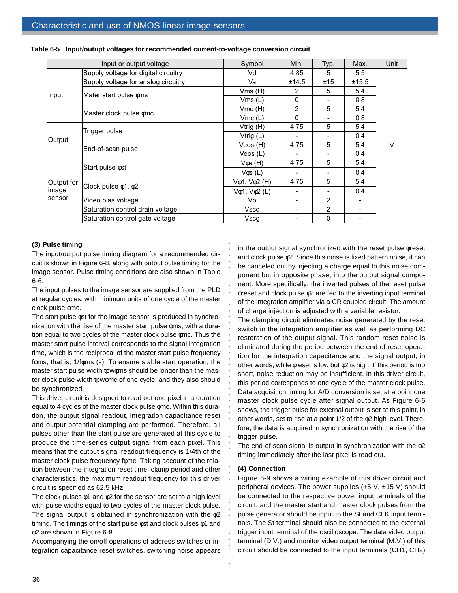|            | Input or output voltage              | Symbol                   | Min.                     | Typ.           | Max.  | Unit |
|------------|--------------------------------------|--------------------------|--------------------------|----------------|-------|------|
|            | Supply voltage for digital circuitry | Vd                       | 4.85                     | 5              | 5.5   |      |
|            | Supply voltage for analog circuitry  | Va                       | ±14.5                    | ±15            | ±15.5 |      |
|            |                                      | Vms(H)                   | 2                        | 5              | 5.4   |      |
| Input      | Mater start pulse $\phi$ ms          | Vms(L)                   | $\Omega$                 |                | 0.8   |      |
|            |                                      | Vmc(H)                   | $\overline{2}$           | 5              | 5.4   |      |
|            | Master clock pulse omc               | Vmc(L)                   | $\Omega$                 |                | 0.8   |      |
| Output     | Trigger pulse                        | Vtrig (H)                | 4.75                     | 5              | 5.4   |      |
|            |                                      | Vtrig (L)                |                          |                | 0.4   |      |
|            | End-of-scan pulse                    | Veos (H)                 | 4.75                     | 5              | 5.4   | v    |
|            |                                      | Veos (L)                 |                          |                | 0.4   |      |
|            | Start pulse $\phi$ st                | $V$ $\phi$ s $(H)$       | 4.75                     | 5              | 5.4   |      |
|            |                                      | $V$ $\phi$ s (L)         | $\overline{\phantom{a}}$ |                | 0.4   |      |
| Output for |                                      | $V\phi$ 1, $V\phi$ 2 (H) | 4.75                     | 5              | 5.4   |      |
| image      | Clock pulse $\phi$ 1, $\phi$ 2       | $V\phi$ 1, $V\phi$ 2 (L) | $\overline{\phantom{a}}$ | $\overline{a}$ | 0.4   |      |
| sensor     | Video bias voltage                   | Vb                       | $\overline{\phantom{0}}$ | 2              |       |      |
|            | Saturation control drain voltage     | Vscd                     |                          | 2              |       |      |
|            | Saturation control gate voltage      | Vscg                     |                          | 0              |       |      |

aaaaaaaaaaa

aaaaaaaaaaaaaaaaaaaaaaaaaaaaaaaaaaaaaaaaaaa

| Table 6-5 Input/outupt voltages for recommended current-to-voltage conversion circuit |  |  |  |
|---------------------------------------------------------------------------------------|--|--|--|
|                                                                                       |  |  |  |

#### **(3) Pulse timing**

The input/output pulse timing diagram for a recommended circuit is shown in Figure 6-8, along with output pulse timing for the image sensor. Pulse timing conditions are also shown in Table 6-6.

The input pulses to the image sensor are supplied from the PLD at regular cycles, with minimum units of one cycle of the master clock pulse φmc.

The start pulse φst for the image sensor is produced in synchronization with the rise of the master start pulse φms, with a duration equal to two cycles of the master clock pulse φmc. Thus the master start pulse interval corresponds to the signal integration time, which is the reciprocal of the master start pulse frequency foms, that is, 1/foms (s). To ensure stable start operation, the master start pulse width tpwφms should be longer than the master clock pulse width tpwφmc of one cycle, and they also should be synchronized.

This driver circuit is designed to read out one pixel in a duration equal to 4 cycles of the master clock pulse φmc. Within this duration, the output signal readout, integration capacitance reset and output potential clamping are performed. Therefore, all pulses other than the start pulse are generated at this cycle to produce the time-series output signal from each pixel. This means that the output signal readout frequency is 1/4th of the master clock pulse frequency fomc. Taking account of the relation between the integration reset time, clamp period and other characteristics, the maximum readout frequency for this driver circuit is specified as 62.5 kHz.

The clock pulses  $\phi$ 1 and  $\phi$ 2 for the sensor are set to a high level with pulse widths equal to two cycles of the master clock pulse. The signal output is obtained in synchronization with the  $\phi$ 2 timing. The timings of the start pulse φst and clock pulses φ1 and φ2 are shown in Figure 6-8.

Accompanying the on/off operations of address switches or integration capacitance reset switches, switching noise appears

in the output signal synchronized with the reset pulse φreset and clock pulse φ2. Since this noise is fixed pattern noise, it can be canceled out by injecting a charge equal to this noise component but in opposite phase, into the output signal component. More specifically, the inverted pulses of the reset pulse φreset and clock pulse φ2 are fed to the inverting input terminal of the integration amplifier via a CR coupled circuit. The amount of charge injection is adjusted with a variable resistor.

The clamping circuit eliminates noise generated by the reset switch in the integration amplifier as well as performing DC restoration of the output signal. This random reset noise is eliminated during the period between the end of reset operation for the integration capacitance and the signal output, in other words, while φreset is low but φ2 is high. If this period is too short, noise reduction may be insufficient. In this driver circuit, this period corresponds to one cycle of the master clock pulse. Data acquisition timing for A/D conversion is set at a point one master clock pulse cycle after signal output. As Figure 6-6 shows, the trigger pulse for external output is set at this point, in other words, set to rise at a point 1/2 of the φ2 high level. Therefore, the data is acquired in synchronization with the rise of the trigger pulse.

The end-of-scan signal is output in synchronization with the  $\phi$ 2 timing immediately after the last pixel is read out.

#### **(4) Connection**

Figure 6-9 shows a wiring example of this driver circuit and peripheral devices. The power supplies  $(+5 \text{ V}, \pm 15 \text{ V})$  should be connected to the respective power input terminals of the circuit, and the master start and master clock pulses from the pulse generator should be input to the St and CLK input terminals. The St terminal should also be connected to the external trigger input terminal of the oscilloscope. The data video output terminal (D.V.) and monitor video output terminal (M.V.) of this circuit should be connected to the input terminals (CH1, CH2)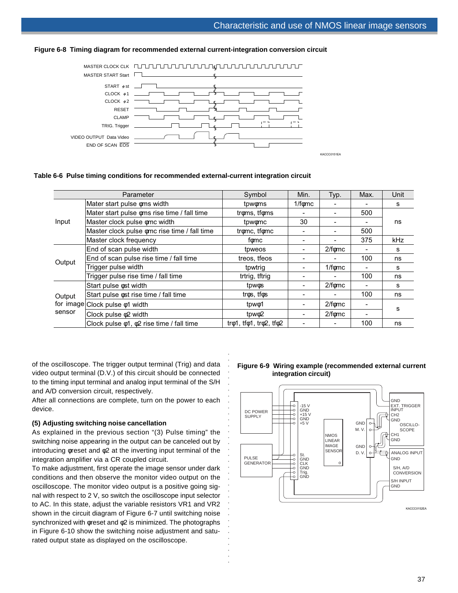

## **Figure 6-8 Timing diagram for recommended external current-integration conversion circuit**

## **Table 6-6 Pulse timing conditions for recommended external-current integration circuit**

|        | Parameter                                            | Symbol                                             | Min.         | Typ.           | Max. | Unit |
|--------|------------------------------------------------------|----------------------------------------------------|--------------|----------------|------|------|
|        | Mater start pulse oms width                          | tpwoms                                             | $1/f\phi$ mc |                |      | s    |
|        | Mater start pulse oms rise time / fall time          | troms, tfoms                                       |              |                | 500  |      |
| Input  | Master clock pulse omc width                         | tpwomc                                             | 30           | $\blacksquare$ |      | ns   |
|        | Master clock pulse omc rise time / fall time         | tromc, tfomc                                       |              |                | 500  |      |
|        | Master clock frequency                               | fomc                                               |              |                | 375  | kHz  |
|        | End of scan pulse width                              | tpweos                                             |              | $2/f\phi$ mc   |      | s    |
|        | End of scan pulse rise time / fall time              | treos, tfeos                                       |              |                | 100  | ns   |
| Output | Trigger pulse width                                  | tpwtrig                                            |              | $1/f\phi$ mc   | ۰.   | s    |
|        | Trigger pulse rise time / fall time                  | trtrig, tftrig                                     |              |                | 100  | ns   |
|        | Start pulse $\phi$ st width                          | tpwos                                              |              | $2/f\phi$ mc   |      | s    |
| Output | Start pulse $\phi$ st rise time / fall time          | tros, tfos                                         |              |                | 100  | ns   |
| sensor | for image Clock pulse $\phi$ 1 width                 | tpw <sub>0</sub> 1                                 |              | $2/f\phi$ mc   |      |      |
|        | Clock pulse $\phi$ 2 width                           | tpw $\phi$ 2                                       |              | $2/f\phi$ mc   |      | s    |
|        | Clock pulse $\phi$ 1, $\phi$ 2 rise time / fall time | tr $\phi$ 1, tf $\phi$ 1, tr $\phi$ 2, tf $\phi$ 2 |              |                | 100  | ns   |

aaaaaaa

aaaaaaaaaaaaaaaaaaaaaaaaaaaaa

of the oscilloscope. The trigger output terminal (Trig) and data video output terminal (D.V.) of this circuit should be connected to the timing input terminal and analog input terminal of the S/H and A/D conversion circuit, respectively.

After all connections are complete, turn on the power to each device.

## **(5) Adjusting switching noise cancellation**

As explained in the previous section "(3) Pulse timing" the switching noise appearing in the output can be canceled out by introducing φreset and φ2 at the inverting input terminal of the integration amplifier via a CR coupled circuit.

To make adjustment, first operate the image sensor under dark conditions and then observe the monitor video output on the oscilloscope. The monitor video output is a positive going signal with respect to 2 V, so switch the oscilloscope input selector to AC. In this state, adjust the variable resistors VR1 and VR2 shown in the circuit diagram of Figure 6-7 until switching noise synchronized with φreset and φ2 is minimized. The photographs in Figure 6-10 show the switching noise adjustment and saturated output state as displayed on the oscilloscope.

#### **Figure 6-9 Wiring example (recommended external current integration circuit)**

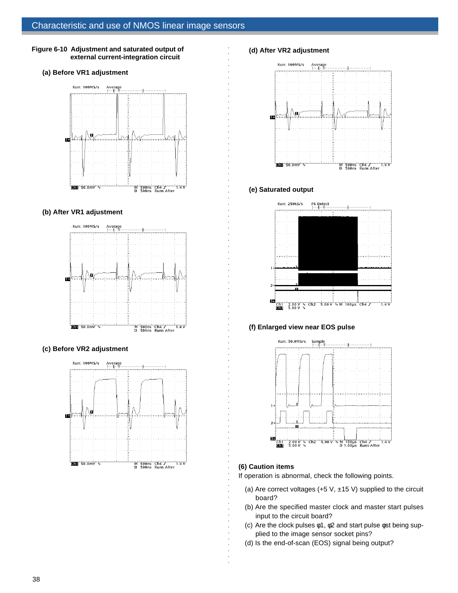## **Figure 6-10 Adjustment and saturated output of external current-integration circuit**

#### **(a) Before VR1 adjustment**



## **(b) After VR1 adjustment**



## **(c) Before VR2 adjustment**



## **(d) After VR2 adjustment**



## **(e) Saturated output**

aaaaaaaaaaaaaaaaaaaaaaaaaaaaaaaaaaaaaaaaaaaaaaaaaaaaa



## **(f) Enlarged view near EOS pulse**



## **(6) Caution items**

aaaaaaaaaaaaaaaaaaaaaaaaaaaaaaaaaa

If operation is abnormal, check the following points.

- (a) Are correct voltages (+5 V,  $\pm$ 15 V) supplied to the circuit board?
- (b) Are the specified master clock and master start pulses input to the circuit board?
- (c) Are the clock pulses φ1, φ2 and start pulse φst being supplied to the image sensor socket pins?
- (d) Is the end-of-scan (EOS) signal being output?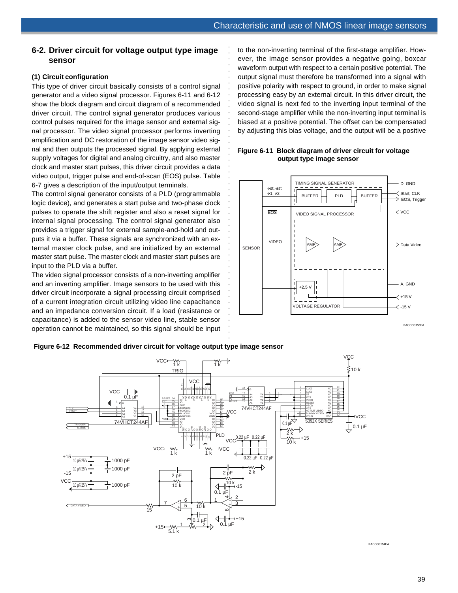## **6-2. Driver circuit for voltage output type image sensor**

## **(1) Circuit configuration**

This type of driver circuit basically consists of a control signal generator and a video signal processor. Figures 6-11 and 6-12 show the block diagram and circuit diagram of a recommended driver circuit. The control signal generator produces various control pulses required for the image sensor and external signal processor. The video signal processor performs inverting amplification and DC restoration of the image sensor video signal and then outputs the processed signal. By applying external supply voltages for digital and analog circuitry, and also master clock and master start pulses, this driver circuit provides a data video output, trigger pulse and end-of-scan (EOS) pulse. Table 6-7 gives a description of the input/output terminals.

The control signal generator consists of a PLD (programmable logic device), and generates a start pulse and two-phase clock pulses to operate the shift register and also a reset signal for internal signal processing. The control signal generator also provides a trigger signal for external sample-and-hold and outputs it via a buffer. These signals are synchronized with an external master clock pulse, and are initialized by an external master start pulse. The master clock and master start pulses are input to the PLD via a buffer.

The video signal processor consists of a non-inverting amplifier and an inverting amplifier. Image sensors to be used with this driver circuit incorporate a signal processing circuit comprised of a current integration circuit utilizing video line capacitance and an impedance conversion circuit. If a load (resistance or capacitance) is added to the sensor video line, stable sensor operation cannot be maintained, so this signal should be input to the non-inverting terminal of the first-stage amplifier. However, the image sensor provides a negative going, boxcar waveform output with respect to a certain positive potential. The output signal must therefore be transformed into a signal with positive polarity with respect to ground, in order to make signal processing easy by an external circuit. In this driver circuit, the video signal is next fed to the inverting input terminal of the second-stage amplifier while the non-inverting input terminal is biased at a positive potential. The offset can be compensated by adjusting this bias voltage, and the output will be a positive



## **Figure 6-11 Block diagram of driver circuit for voltage output type image sensor**

#### **Figure 6-12 Recommended driver circuit for voltage output type image sensor**



.<br>.<br>.<br>.

KACCC0154EA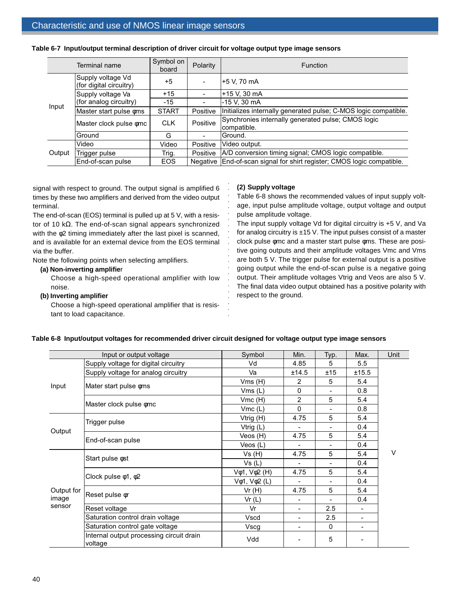|        | Terminal name                                | Symbol on<br>board | Polarity | <b>Function</b>                                                        |  |
|--------|----------------------------------------------|--------------------|----------|------------------------------------------------------------------------|--|
|        | Supply voltage Vd<br>(for digital circuitry) | $+5$               |          | +5 V, 70 mA                                                            |  |
| Input  | Supply voltage Va                            | $+15$              |          | +15 V. 30 mA                                                           |  |
|        | (for analog circuitry)                       | $-15$              |          | -15 V. 30 mA                                                           |  |
|        | Master start pulse oms                       | <b>START</b>       | Positive | Initializes internally generated pulse; C-MOS logic compatible.        |  |
|        | Master clock pulse omc                       | <b>CLK</b>         | Positive | Synchronies internally generated pulse; CMOS logic<br>compatible.      |  |
|        | Ground                                       | G                  |          | Ground.                                                                |  |
|        | Video                                        | Video              | Positive | Video output.                                                          |  |
| Output | Trigger pulse                                | Trig.              | Positive | A/D conversion timing signal; CMOS logic compatible.                   |  |
|        | End-of-scan pulse                            | <b>EOS</b>         |          | Negative End-of-scan signal for shirt register; CMOS logic compatible. |  |

aaaaaaaaaaaaaaaaaaaaaaa

#### **Table 6-7 Input/output terminal description of driver circuit for voltage output type image sensors**

signal with respect to ground. The output signal is amplified 6 times by these two amplifiers and derived from the video output terminal.

The end-of-scan (EOS) terminal is pulled up at 5 V, with a resistor of 10 kΩ. The end-of-scan signal appears synchronized with the φ2 timing immediately after the last pixel is scanned, and is available for an external device from the EOS terminal via the buffer.

Note the following points when selecting amplifiers.

## **(a) Non-inverting amplifie**r

Choose a high-speed operational amplifier with low noise.

#### **(b) Inverting amplifier**

Choose a high-speed operational amplifier that is resistant to load capacitance.

#### **(2) Supply voltage**

Table 6-8 shows the recommended values of input supply voltage, input pulse amplitude voltage, output voltage and output pulse amplitude voltage.

The input supply voltage Vd for digital circuitry is +5 V, and Va for analog circuitry is  $\pm 15$  V. The input pulses consist of a master clock pulse φmc and a master start pulse φms. These are positive going outputs and their amplitude voltages Vmc and Vms are both 5 V. The trigger pulse for external output is a positive going output while the end-of-scan pulse is a negative going output. Their amplitude voltages Vtrig and Veos are also 5 V. The final data video output obtained has a positive polarity with respect to the ground.

|                 | Input or output voltage                             | Symbol                                 | Min.                     | Typ.                     | Max.  | Unit   |
|-----------------|-----------------------------------------------------|----------------------------------------|--------------------------|--------------------------|-------|--------|
|                 | Supply voltage for digital circuitry                | Vd                                     | 4.85                     | 5                        | 5.5   |        |
|                 | Supply voltage for analog circuitry                 | Va                                     | ±14.5                    | ±15                      | ±15.5 |        |
|                 |                                                     | Vms(H)                                 | 2                        | 5                        | 5.4   |        |
| Input           | Mater start pulse $\phi$ ms                         | Vms(L)                                 | $\mathbf 0$              | $\blacksquare$           | 0.8   |        |
|                 | Master clock pulse omc                              | Vmc(H)                                 | $\overline{2}$           | 5                        | 5.4   |        |
|                 |                                                     | Vmc(L)                                 | $\Omega$                 | $\blacksquare$           | 0.8   |        |
|                 | Trigger pulse                                       | Vtrig (H)                              | 4.75                     | 5                        | 5.4   |        |
|                 |                                                     | Vtrig (L)                              |                          | $\blacksquare$           | 0.4   |        |
| Output          | End-of-scan pulse                                   | Veos (H)                               | 4.75                     | 5                        | 5.4   |        |
|                 |                                                     | Veos $(L)$                             | $\overline{\phantom{0}}$ | $\overline{\phantom{0}}$ | 0.4   |        |
|                 |                                                     | Vs(H)                                  | 4.75                     | 5                        | 5.4   | $\vee$ |
|                 | Start pulse $\phi$ st                               | Vs (L)                                 |                          | $\blacksquare$           | 0.4   |        |
|                 |                                                     | V <sub>¢1</sub> , V <sub>¢</sub> 2 (H) | 4.75                     | 5                        | 5.4   |        |
|                 | Clock pulse $\phi$ 1, $\phi$ 2                      | $V\phi$ 1, $V\phi$ 2 (L)               |                          | $\blacksquare$           | 0.4   |        |
| Output for      |                                                     | Vr(H)                                  | 4.75                     | 5                        | 5.4   |        |
| image<br>sensor | Reset pulse or                                      | Vr(L)                                  | $\overline{\phantom{0}}$ | $\blacksquare$           | 0.4   |        |
|                 | Reset voltage                                       | Vr                                     |                          | 2.5                      |       |        |
|                 | Saturation control drain voltage                    | Vscd                                   |                          | 2.5                      |       |        |
|                 | Saturation control gate voltage                     | Vscg                                   | $\blacksquare$           | $\Omega$                 | -     |        |
|                 | Internal output processing circuit drain<br>voltage | Vdd                                    |                          | 5                        |       |        |

## **Table 6-8 Input/output voltages for recommended driver circuit designed for voltage output type image sensors**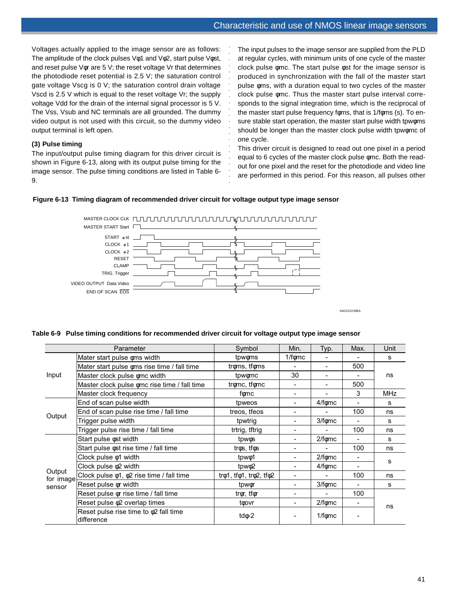Voltages actually applied to the image sensor are as follows: The amplitude of the clock pulses Vφ1 and Vφ2, start pulse Vφst, and reset pulse Vφr are 5 V; the reset voltage Vr that determines the photodiode reset potential is 2.5 V; the saturation control gate voltage Vscg is 0 V; the saturation control drain voltage Vscd is 2.5 V which is equal to the reset voltage Vr; the supply voltage Vdd for the drain of the internal signal processor is 5 V. The Vss, Vsub and NC terminals are all grounded. The dummy video output is not used with this circuit, so the dummy video output terminal is left open.

## **(3) Pulse timing**

The input/output pulse timing diagram for this driver circuit is shown in Figure 6-13, along with its output pulse timing for the image sensor. The pulse timing conditions are listed in Table 6- 9.

The input pulses to the image sensor are supplied from the PLD at regular cycles, with minimum units of one cycle of the master clock pulse φmc. The start pulse φst for the image sensor is produced in synchronization with the fall of the master start pulse φms, with a duration equal to two cycles of the master clock pulse φmc. Thus the master start pulse interval corresponds to the signal integration time, which is the reciprocal of the master start pulse frequency foms, that is 1/foms (s). To ensure stable start operation, the master start pulse width tpwφms should be longer than the master clock pulse width tpwomc of one cycle.

This driver circuit is designed to read out one pixel in a period equal to 6 cycles of the master clock pulse φmc. Both the readout for one pixel and the reset for the photodiode and video line are performed in this period. For this reason, all pulses other

## **Figure 6-13 Timing diagram of recommended driver circuit for voltage output type image sensor**



aaaaaaaaaaa

aaaaaaaaaaaa

KACCC0155EA

## **Table 6-9 Pulse timing conditions for recommended driver circuit for voltage output type image sensor**

| Parameter           |                                                           | Symbol                                             | Min.                     | Typ.                     | Max.           | Unit       |
|---------------------|-----------------------------------------------------------|----------------------------------------------------|--------------------------|--------------------------|----------------|------------|
|                     | Mater start pulse oms width                               | tpwoms                                             | $1/f\phi$ mc             |                          |                | s          |
|                     | Mater start pulse oms rise time / fall time               | troms, tfoms                                       |                          | ۰                        | 500            |            |
| Input               | Master clock pulse omc width                              | tpwomc                                             | 30                       | $\blacksquare$           |                | ns         |
|                     | Master clock pulse omc rise time / fall time              | tromc, tfomc                                       |                          |                          | 500            |            |
|                     | Master clock frequency                                    | f⊚mc                                               | $\blacksquare$           |                          | 3              | <b>MHz</b> |
|                     | End of scan pulse width                                   | tpweos                                             |                          | 4/fomc                   |                | s          |
|                     | End of scan pulse rise time / fall time                   | treos, tfeos                                       | $\overline{\phantom{0}}$ | ۰                        | 100            | ns         |
| Output              | Trigger pulse width                                       | tpwtrig                                            | -                        | 3/fomc                   | $\blacksquare$ | s          |
|                     | Trigger pulse rise time / fall time                       | trtrig, tftrig                                     | $\overline{\phantom{0}}$ |                          | 100            | ns         |
|                     | Start pulse ost width                                     | tpwos                                              |                          | $2/f \phi mc$            |                | s          |
|                     | Start pulse $\phi$ st rise time / fall time               | tros, tfos                                         |                          |                          | 100            | ns         |
|                     | Clock pulse $\phi$ 1 width                                | tpwo1                                              |                          | $2/f \phi mc$            | $\blacksquare$ |            |
|                     | Clock pulse $\phi$ 2 width                                | tpw $\phi$ 2                                       |                          | 4/f <sub>0</sub> mc      |                | s          |
| Output<br>for image | Clock pulse $\phi$ 1, $\phi$ 2 rise time / fall time      | tr $\phi$ 1, tf $\phi$ 1, tr $\phi$ 2, tf $\phi$ 2 | -                        | $\overline{\phantom{a}}$ | 100            | ns         |
| sensor              | Reset pulse or width                                      | tpw $\phi$ r                                       |                          | 3/fomc                   | $\blacksquare$ | s          |
|                     | Reset pulse or rise time / fall time                      | trør, tfør                                         |                          | $\blacksquare$           | 100            |            |
|                     | Reset pulse $\phi$ 2 overlap times                        | toovr                                              |                          | $2/f \phi mc$            | -              |            |
|                     | Reset pulse rise time to $\phi$ 2 fall time<br>difference | td $\phi$ -2                                       |                          | $1/f \phi mc$            |                | ns         |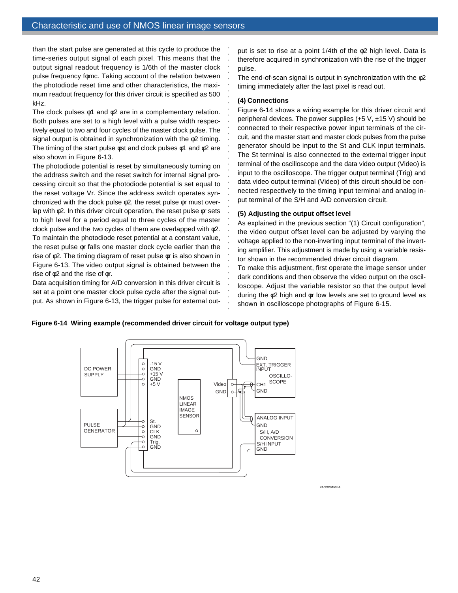than the start pulse are generated at this cycle to produce the time-series output signal of each pixel. This means that the output signal readout frequency is 1/6th of the master clock pulse frequency fφmc. Taking account of the relation between the photodiode reset time and other characteristics, the maximum readout frequency for this driver circuit is specified as 500 kHz.

The clock pulses  $\phi$ 1 and  $\phi$ 2 are in a complementary relation. Both pulses are set to a high level with a pulse width respectively equal to two and four cycles of the master clock pulse. The signal output is obtained in synchronization with the φ2 timing. The timing of the start pulse  $\phi$ st and clock pulses  $\phi$ 1 and  $\phi$ 2 are also shown in Figure 6-13.

The photodiode potential is reset by simultaneously turning on the address switch and the reset switch for internal signal processing circuit so that the photodiode potential is set equal to the reset voltage Vr. Since the address switch operates synchronized with the clock pulse φ2, the reset pulse φr must overlap with φ2. In this driver circuit operation, the reset pulse φr sets to high level for a period equal to three cycles of the master clock pulse and the two cycles of them are overlapped with φ2. To maintain the photodiode reset potential at a constant value, the reset pulse φr falls one master clock cycle earlier than the rise of φ2. The timing diagram of reset pulse φr is also shown in Figure 6-13. The video output signal is obtained between the rise of φ2 and the rise of φr.

Data acquisition timing for A/D conversion in this driver circuit is set at a point one master clock pulse cycle after the signal output. As shown in Figure 6-13, the trigger pulse for external output is set to rise at a point 1/4th of the φ2 high level. Data is therefore acquired in synchronization with the rise of the trigger pulse.

The end-of-scan signal is output in synchronization with the φ2 timing immediately after the last pixel is read out.

## **(4) Connections**

aaaaaaaaaaaaaaaaaaaaaa

aaaaaaaaaaaaaaaaaaaaaa

Figure 6-14 shows a wiring example for this driver circuit and peripheral devices. The power supplies  $(+5 \text{ V}, \pm 15 \text{ V})$  should be connected to their respective power input terminals of the circuit, and the master start and master clock pulses from the pulse generator should be input to the St and CLK input terminals. The St terminal is also connected to the external trigger input terminal of the oscilloscope and the data video output (Video) is input to the oscilloscope. The trigger output terminal (Trig) and data video output terminal (Video) of this circuit should be connected respectively to the timing input terminal and analog input terminal of the S/H and A/D conversion circuit.

## **(5) Adjusting the output offset level**

As explained in the previous section "(1) Circuit configuration", the video output offset level can be adjusted by varying the voltage applied to the non-inverting input terminal of the inverting amplifier. This adjustment is made by using a variable resistor shown in the recommended driver circuit diagram.

To make this adjustment, first operate the image sensor under dark conditions and then observe the video output on the oscilloscope. Adjust the variable resistor so that the output level during the φ2 high and φr low levels are set to ground level as shown in oscilloscope photographs of Figure 6-15.

## **Figure 6-14 Wiring example (recommended driver circuit for voltage output type)**



KACCC0156EA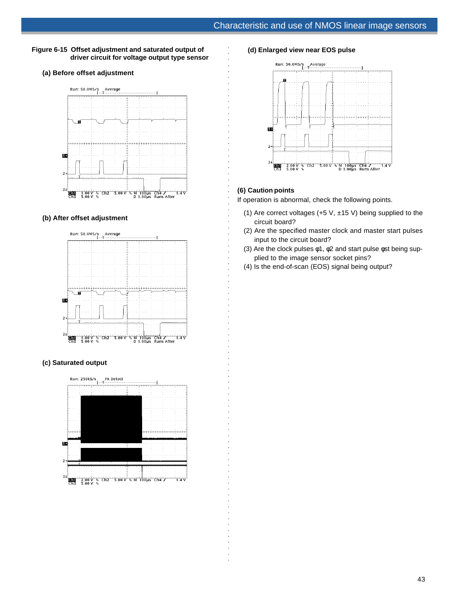## **Figure 6-15 Offset adjustment and saturated output of driver circuit for voltage output type sensor**

## **(a) Before offset adjustment**



#### **(b) After offset adjustment**



## **(c) Saturated output**



#### **(d) Enlarged view near EOS pulse**



## **(6) Caution points**

aaaaaaaaaaaaaaaaaaaaaaaaaaaaaaaaa

aaaaaaaaaaaaaaaaaaaaaaaaaaaaaaaaaaaaaaaaaaaaaaaaaaaaaa

If operation is abnormal, check the following points.

- (1) Are correct voltages (+5 V,  $\pm$ 15 V) being supplied to the circuit board?
- (2) Are the specified master clock and master start pulses input to the circuit board?
- (3) Are the clock pulses φ1, φ2 and start pulse φst being supplied to the image sensor socket pins?
- (4) Is the end-of-scan (EOS) signal being output?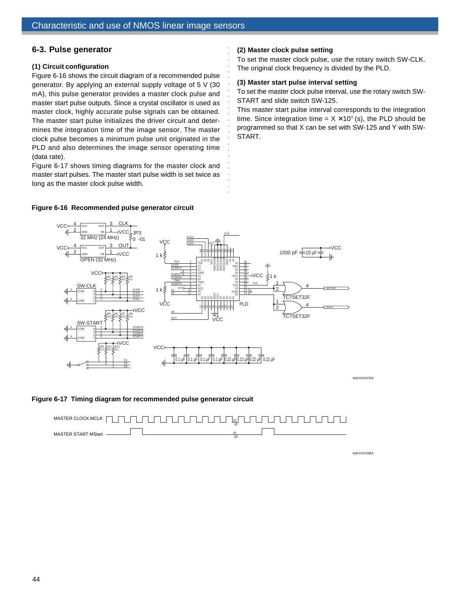## **6-3. Pulse generator**

## **(1) Circuit configuration**

Figure 6-16 shows the circuit diagram of a recommended pulse generator. By applying an external supply voltage of 5 V (30 mA), this pulse generator provides a master clock pulse and master start pulse outputs. Since a crystal oscillator is used as master clock, highly accurate pulse signals can be obtained. The master start pulse initializes the driver circuit and determines the integration time of the image sensor. The master clock pulse becomes a minimum pulse unit originated in the PLD and also determines the image sensor operating time (data rate).

Figure 6-17 shows timing diagrams for the master clock and master start pulses. The master start pulse width is set twice as long as the master clock pulse width.

## **Figure 6-16 Recommended pulse generator circuit**

## **(2) Master clock pulse setting**

To set the master clock pulse, use the rotary switch SW-CLK. The original clock frequency is divided by the PLD.

## **(3) Master start pulse interval setting**

To set the master clock pulse interval, use the rotary switch SW-START and slide switch SW-125.

This master start pulse interval corresponds to the integration time. Since integration time =  $X X10<sup>y</sup>$  (s), the PLD should be programmed so that X can be set with SW-125 and Y with SW-START.



aaaaaaaaaaaaaaaaaaaaaaaaa

KACCC0157EA

## **Figure 6-17 Timing diagram for recommended pulse generator circuit**



KACCC0126EA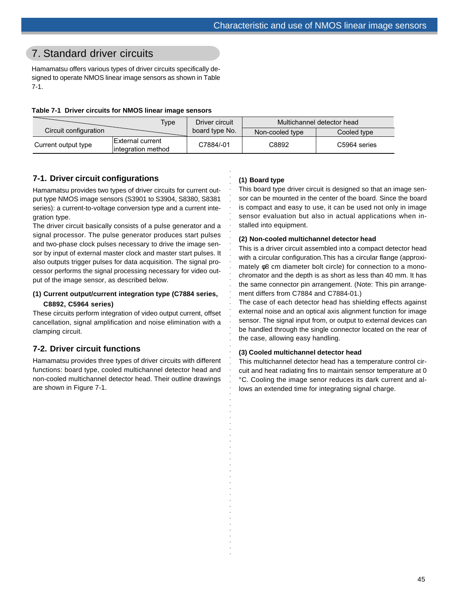# 7. Standard driver circuits

Hamamatsu offers various types of driver circuits specifically designed to operate NMOS linear image sensors as shown in Table 7-1.

## **Table 7-1 Driver circuits for NMOS linear image sensors**

|                       | Type                                     | Driver circuit |                 | Multichannel detector head |
|-----------------------|------------------------------------------|----------------|-----------------|----------------------------|
| Circuit configuration |                                          | board type No. | Non-cooled type | Cooled type                |
| Current output type   | IExternal current<br>lintegration method | C7884/-01      | C8892           | C5964 series               |

aaaaaaaaaaaaaaaaaaaaaaaaaaaaaaaaa

aaaaaaaaaaaaaaaaaaaaaaaaaaaaaaaa

## **7-1. Driver circuit configurations**

Hamamatsu provides two types of driver circuits for current output type NMOS image sensors (S3901 to S3904, S8380, S8381 series): a current-to-voltage conversion type and a current integration type.

The driver circuit basically consists of a pulse generator and a signal processor. The pulse generator produces start pulses and two-phase clock pulses necessary to drive the image sensor by input of external master clock and master start pulses. It also outputs trigger pulses for data acquisition. The signal processor performs the signal processing necessary for video output of the image sensor, as described below.

# **(1) Current output/current integration type (C7884 series,**

## **C8892, C5964 series)**

These circuits perform integration of video output current, offset cancellation, signal amplification and noise elimination with a clamping circuit.

## **7-2. Driver circuit functions**

Hamamatsu provides three types of driver circuits with different functions: board type, cooled multichannel detector head and non-cooled multichannel detector head. Their outline drawings are shown in Figure 7-1.

## **(1) Board type**

This board type driver circuit is designed so that an image sensor can be mounted in the center of the board. Since the board is compact and easy to use, it can be used not only in image sensor evaluation but also in actual applications when installed into equipment.

## **(2) Non-cooled multichannel detector head**

This is a driver circuit assembled into a compact detector head with a circular configuration.This has a circular flange (approximately φ8 cm diameter bolt circle) for connection to a monochromator and the depth is as short as less than 40 mm. It has the same connector pin arrangement. (Note: This pin arrangement differs from C7884 and C7884-01.)

The case of each detector head has shielding effects against external noise and an optical axis alignment function for image sensor. The signal input from, or output to external devices can be handled through the single connector located on the rear of the case, allowing easy handling.

## **(3) Cooled multichannel detector head**

This multichannel detector head has a temperature control circuit and heat radiating fins to maintain sensor temperature at 0 °C. Cooling the image senor reduces its dark current and allows an extended time for integrating signal charge.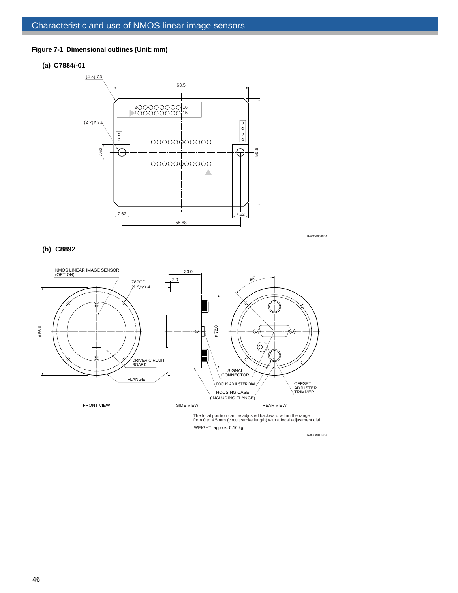## **Figure 7-1 Dimensional outlines (Unit: mm)**

#### **(a) C7884/-01**



KACCA0086EA

## **(b) C8892**



WEIGHT: approx. 0.16 kg

KACCA0113EA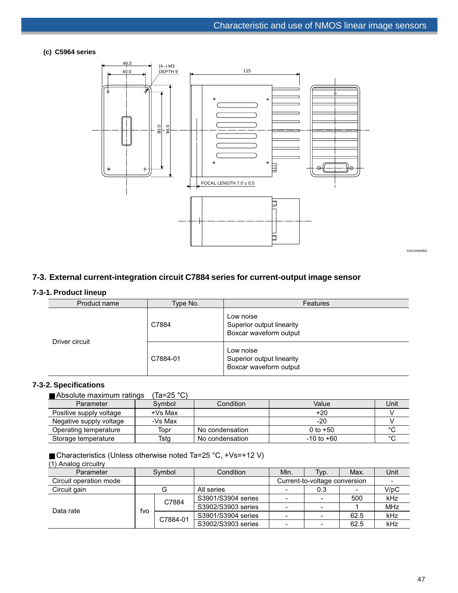## **(c) C5964 series**



## **7-3. External current-integration circuit C7884 series for current-output image sensor**

## **7-3-1. Product lineup**

| Product name   | Type No. | Features                                                         |
|----------------|----------|------------------------------------------------------------------|
| Driver circuit | C7884    | Low noise<br>Superior output linearity<br>Boxcar waveform output |
|                | C7884-01 | Low noise<br>Superior output linearity<br>Boxcar waveform output |

## **7-3-2. Specifications**

■ Absolute maximum ratings (Ta=25 °C)

| Parameter               | Symbol    | Condition       | Value          | Unit   |
|-------------------------|-----------|-----------------|----------------|--------|
| Positive supply voltage | $+Vs$ Max |                 | $+20$          |        |
| Negative supply voltage | -Vs Max   |                 | $-20$          |        |
| Operating temperature   | Topr      | No condensation | 0 to $+50$     |        |
| Storage temperature     | Tstg      | No condensation | $-10$ to $+60$ | $\sim$ |

■ Characteristics (Unless otherwise noted Ta=25 °C, +Vs=+12 V) (1) Analog circuitry

| u u u u u vydrovnu v   |        |          |                    |                               |      |      |            |
|------------------------|--------|----------|--------------------|-------------------------------|------|------|------------|
| Parameter              | Symbol |          | Condition          | Min.                          | Typ. | Max. | Unit       |
| Circuit operation mode |        |          |                    | Current-to-voltage conversion |      |      |            |
| Circuit gain           | G      |          | All series         |                               | 0.3  |      | V/pC       |
|                        |        | C7884    | S3901/S3904 series |                               |      | 500  | kHz        |
| Data rate              |        |          | S3902/S3903 series |                               |      |      | <b>MHz</b> |
|                        | fvo    | C7884-01 | S3901/S3904 series |                               |      | 62.5 | kHz        |
|                        |        |          | S3902/S3903 series |                               |      | 62.5 | kHz        |

KACCA0053EA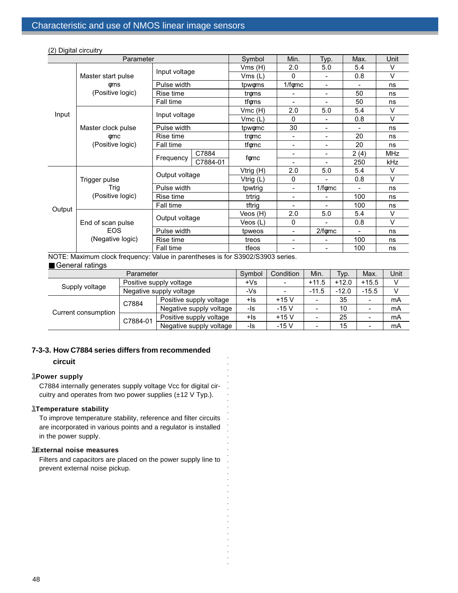| Parameter |                         |                    | Symbol    | Min.                     | Typ.                     | Max.                     | Unit       |
|-----------|-------------------------|--------------------|-----------|--------------------------|--------------------------|--------------------------|------------|
|           |                         | Input voltage      | Vms(H)    | 2.0                      | 5.0                      | 5.4                      | $\vee$     |
|           | Master start pulse      |                    | Vms (L)   | $\mathbf{0}$             |                          | 0.8                      | V          |
|           | фms                     | Pulse width        | tpwoms    | $1/f\phi$ mc             | $\blacksquare$           | $\blacksquare$           | ns         |
|           | (Positive logic)        | Rise time          | troms     |                          | $\overline{\phantom{0}}$ | 50                       | ns         |
|           |                         | Fall time          | tfoms     |                          |                          | 50                       | ns         |
|           |                         | Input voltage      | Vmc (H)   | 2.0                      | 5.0                      | 5.4                      | $\vee$     |
| Input     |                         |                    | Vmc(L)    | $\mathbf{0}$             | $\overline{\phantom{a}}$ | 0.8                      | $\vee$     |
|           | Master clock pulse      | Pulse width        | tpwomc    | 30                       | -                        |                          | ns         |
|           | фmс<br>(Positive logic) | Rise time          | tromc     | $\blacksquare$           | -                        | 20                       | ns         |
|           |                         | Fall time          | tfomc     | $\overline{\phantom{0}}$ |                          | 20                       | ns         |
|           |                         | C7884<br>Frequency | fomc      | $\overline{\phantom{a}}$ | -                        | 2(4)                     | <b>MHz</b> |
|           |                         | C7884-01           |           | $\blacksquare$           | $\overline{\phantom{a}}$ | 250                      | kHz        |
|           | Trigger pulse<br>Trig   | Output voltage     | Vtrig (H) | 2.0                      | 5.0                      | 5.4                      | V          |
|           |                         |                    | Vtrig (L) | $\mathbf{0}$             |                          | 0.8                      | $\vee$     |
|           |                         | Pulse width        | tpwtrig   | $\blacksquare$           | $1/f \phi mc$            |                          | ns         |
|           | (Positive logic)        | Rise time          | trtrig    | $\overline{\phantom{0}}$ |                          | 100                      | ns         |
| Output    |                         | Fall time          | tftrig    | $\overline{\phantom{a}}$ | $\overline{\phantom{0}}$ | 100                      | ns         |
|           |                         |                    | Veos (H)  | 2.0                      | 5.0                      | 5.4                      | V          |
|           | End of scan pulse       | Output voltage     | Veos (L)  | $\Omega$                 |                          | 0.8                      | $\vee$     |
|           | <b>EOS</b>              | Pulse width        | tpweos    | $\overline{\phantom{a}}$ | $2/f \phi mc$            | $\overline{\phantom{a}}$ | ns         |
|           | (Negative logic)        | Rise time          | treos     | $\blacksquare$           | $\overline{\phantom{0}}$ | 100                      | ns         |
|           |                         | Fall time          | tfeos     | $\blacksquare$           | $\overline{\phantom{0}}$ | 100                      | ns         |

(2) Digital circuitry

■ General ratings NOTE: Maximum clock frequency: Value in parentheses is for S3902/S3903 series.

| Parameter           |                         |                         | Symbol | Condition | Min.                     | Typ.    | Max.                     | Unit |
|---------------------|-------------------------|-------------------------|--------|-----------|--------------------------|---------|--------------------------|------|
|                     | Positive supply voltage |                         | $+Vs$  |           | $+11.5$                  | $+12.0$ | $+15.5$                  |      |
| Supply voltage      | Negative supply voltage |                         | -Vs    |           | $-11.5$                  | $-12.0$ | $-15.5$                  |      |
| Current consumption | C7884<br>C7884-01       | Positive supply voltage | +ls    | $+15V$    | $\overline{\phantom{0}}$ | 35      | $\overline{\phantom{0}}$ | mA   |
|                     |                         | Negative supply voltage | -ls    | $-15V$    | $\overline{\phantom{0}}$ | 10      | $\overline{\phantom{a}}$ | mA   |
|                     |                         | Positive supply voltage | +ls    | $+15V$    | $\overline{\phantom{0}}$ | 25      | $\overline{\phantom{a}}$ | mA   |
|                     |                         | Negative supply voltage | -ls    | $-15V$    |                          | 15      | $\overline{\phantom{a}}$ | mA   |

aaaaaaaaaaaaaaaa

aaaaaaaaaaaaaaaaaaa

# **7-3-3. How C7884 series differs from recommended**

## **circuit**

## **1Power supply**

C7884 internally generates supply voltage Vcc for digital circuitry and operates from two power supplies (±12 V Typ.).

## llll **Temperature stability**

To improve temperature stability, reference and filter circuits are incorporated in various points and a regulator is installed in the power supply.

## *LExternal noise measures*

Filters and capacitors are placed on the power supply line to prevent external noise pickup.